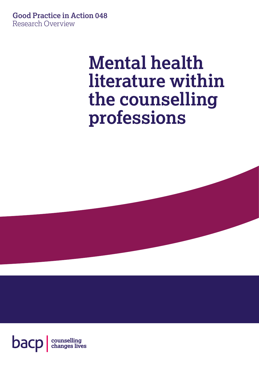**Good Practice in Action 048** Research Overview

# **Mental health literature within the counselling professions**

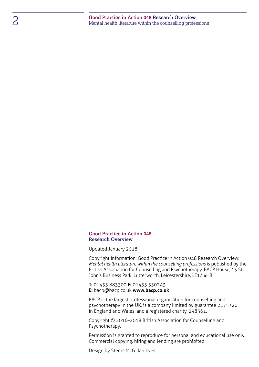#### **Good Practice in Action 048 Research Overview**

Updated January 2018

Copyright information: Good Practice in Action 048 Research Overview: *Mental health literature within the counselling professions* is published by the British Association for Counselling and Psychotherapy, BACP House, 15 St John's Business Park, Lutterworth, Leicestershire, LE17 4HB.

**T:** 01455 883300 **F:** 01455 550243 **E:** [bacp@bacp.co.uk](mailto:bacp%40bacp.co.uk?subject=) **[www.bacp.co.uk](http://www.bacp.co.uk)**

BACP is the largest professional organisation for counselling and psychotherapy in the UK, is a company limited by guarantee 2175320 in England and Wales, and a registered charity, 298361.

Copyright © 2016–2018 British Association for Counselling and Psychotherapy.

Permission is granted to reproduce for personal and educational use only. Commercial copying, hiring and lending are prohibited.

Design by Steers McGillan Eves.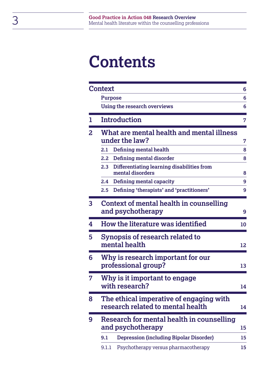# **Contents**

|   | <b>Context</b>                                                                     | 6  |  |  |
|---|------------------------------------------------------------------------------------|----|--|--|
|   | <b>Purpose</b>                                                                     | 6  |  |  |
|   | Using the research overviews                                                       | 6  |  |  |
| ı | <b>Introduction</b>                                                                | 7  |  |  |
| 2 | What are mental health and mental illness<br>under the law?                        |    |  |  |
|   | Defining mental health<br>2.1                                                      | 8  |  |  |
|   | Defining mental disorder<br>2.2 <sub>2</sub>                                       | 8  |  |  |
|   | 2.3<br>Differentiating learning disabilities from<br>mental disorders              | 8  |  |  |
|   | Defining mental capacity<br>2.4                                                    | 9  |  |  |
|   | Defining 'therapists' and 'practitioners'<br>2.5                                   | 9  |  |  |
| 3 | Context of mental health in counselling<br>and psychotherapy<br>9                  |    |  |  |
| 4 | How the literature was identified                                                  |    |  |  |
| 5 | Synopsis of research related to<br>mental health<br>12                             |    |  |  |
| 6 | Why is research important for our<br>professional group?                           |    |  |  |
|   | Why is it important to engage<br>with research?<br>14                              |    |  |  |
| 8 | The ethical imperative of engaging with<br>research related to mental health<br>14 |    |  |  |
| 9 | Research for mental health in counselling<br>and psychotherapy                     |    |  |  |
|   | <b>Depression (including Bipolar Disorder)</b><br>9.1                              | 15 |  |  |
|   | Psychotherapy versus pharmacotherapy<br>9.1.1                                      | 15 |  |  |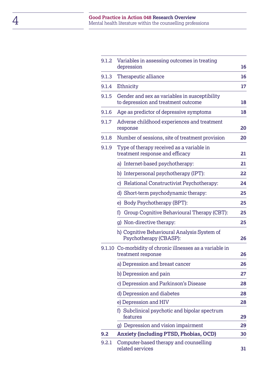| 9.1.2 | Variables in assessing outcomes in treating<br>depression                            |    |  |  |
|-------|--------------------------------------------------------------------------------------|----|--|--|
| 9.1.3 | Therapeutic alliance                                                                 |    |  |  |
| 9.1.4 | Ethnicity                                                                            | 17 |  |  |
| 9.1.5 | Gender and sex as variables in susceptibility<br>to depression and treatment outcome |    |  |  |
| 9.1.6 | Age as predictor of depressive symptoms                                              |    |  |  |
| 9.1.7 | Adverse childhood experiences and treatment<br>response                              |    |  |  |
| 9.1.8 | Number of sessions, site of treatment provision                                      | 20 |  |  |
| 9.1.9 | Type of therapy received as a variable in<br>treatment response and efficacy         | 21 |  |  |
|       | a) Internet-based psychotherapy:                                                     | 21 |  |  |
|       | b) Interpersonal psychotherapy (IPT):                                                | 22 |  |  |
|       | c) Relational Constructivist Psychotherapy:                                          | 24 |  |  |
|       | d) Short-term psychodynamic therapy:                                                 | 25 |  |  |
|       | e) Body Psychotherapy (BPT):                                                         | 25 |  |  |
|       | Group Cognitive Behavioural Therapy (CBT):<br>f)                                     | 25 |  |  |
|       | g) Non-directive therapy:                                                            | 25 |  |  |
|       | h) Cognitive Behavioural Analysis System of<br>Psychotherapy (CBASP):                | 26 |  |  |
|       | 9.1.10 Co-morbidity of chronic illnesses as a variable in<br>treatment response      | 26 |  |  |
|       | a) Depression and breast cancer                                                      | 26 |  |  |
|       | b) Depression and pain                                                               | 27 |  |  |
|       | c) Depression and Parkinson's Disease                                                | 28 |  |  |
|       | d) Depression and diabetes                                                           | 28 |  |  |
|       | e) Depression and HIV                                                                | 28 |  |  |
|       | f) Subclinical psychotic and bipolar spectrum<br>features                            | 29 |  |  |
|       | g) Depression and vision impairment                                                  | 29 |  |  |
| 9.2   | <b>Anxiety (including PTSD, Phobias, OCD)</b>                                        |    |  |  |
| 9.2.1 | Computer-based therapy and counselling<br>related services                           |    |  |  |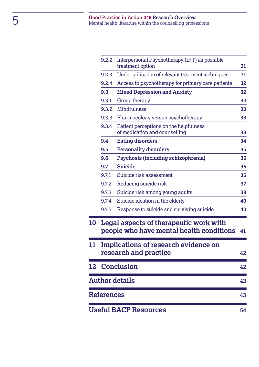|    | 9.2.2      | Interpersonal Psychotherapy (IPT) as possible<br>treatment option                  | 31 |
|----|------------|------------------------------------------------------------------------------------|----|
|    | 9.2.3      | Under-utilisation of relevant treatment techniques                                 | 31 |
|    | 9.2.4      | Access to psychotherapy for primary care patients                                  | 32 |
|    | 9.3        | <b>Mixed Depression and Anxiety</b>                                                | 32 |
|    | 9.3.1      | Group therapy                                                                      | 32 |
|    | 9.3.2      | <b>Mindfulness</b>                                                                 | 33 |
|    | 9.3.3      | Pharmacology versus psychotherapy                                                  | 33 |
|    | 9.3.4      | Patient perceptions on the helpfulness<br>of medication and counselling            | 33 |
|    | 9.4        | <b>Eating disorders</b>                                                            | 34 |
|    | 9.5        | <b>Personality disorders</b>                                                       | 35 |
|    | 9.6        | Psychosis (including schizophrenia)                                                | 36 |
|    | 9.7        | <b>Suicide</b>                                                                     | 36 |
|    | 9.7.1      | Suicide risk assessment                                                            | 36 |
|    | 9.7.2      | Reducing suicide risk                                                              | 37 |
|    | 9.7.3      | Suicide risk among young adults                                                    | 38 |
|    | 9.7.4      | Suicide ideation in the elderly                                                    | 40 |
|    | 9.7.5      | Response to suicide and surviving suicide                                          | 40 |
| 10 |            | Legal aspects of therapeutic work with<br>people who have mental health conditions | 41 |
| 11 |            | Implications of research evidence on<br>research and practice                      | 42 |
|    |            | 12 Conclusion                                                                      | 42 |
|    |            | <b>Author details</b>                                                              | 43 |
|    | References |                                                                                    | 43 |
|    |            | <b>Useful BACP Resources</b>                                                       | 54 |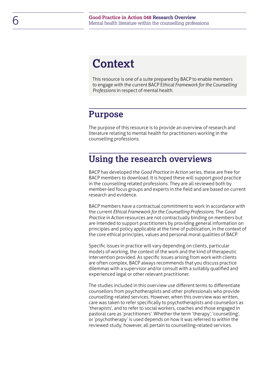## <span id="page-5-0"></span>**Context**

This resource is one of a suite prepared by BACP to enable members to engage with the current BACP E*thical Framework for the Counselling Professions* in respect of mental health.

### <span id="page-5-1"></span>**Purpose**

The purpose of this resource is to provide an overview of research and literature relating to mental health for practitioners working in the counselling professions.

### **Using the research overviews**

BACP has developed the *Good Practice in Action* series, these are free for BACP members to download. It is hoped these will support good practice in the counselling related professions. They are all reviewed both by member-led focus groups and experts in the field and are based on current research and evidence.

BACP members have a contractual commitment to work in accordance with the current *Ethical Framework for the Counselling Professions*. The *Good Practice in Action* resources are not contractually binding on members but are intended to support practitioners by providing general information on principles and policy applicable at the time of publication, in the context of the core ethical principles, values and personal moral qualities of BACP.

Specific issues in practice will vary depending on clients, particular models of working, the context of the work and the kind of therapeutic intervention provided. As specific issues arising from work with clients are often complex, BACP always recommends that you discuss practice dilemmas with a supervisor and/or consult with a suitably qualified and experienced legal or other relevant practitioner.

The studies included in this overview use different terms to differentiate counsellors from psychotherapists and other professionals who provide counselling-related services. However, when this overview was written, care was taken to refer specifically to psychotherapists and counsellors as 'therapists', and to refer to social workers, coaches and those engaged in pastoral care as 'practitioners'. Whether the term 'therapy', 'counselling', or 'psychotherapy' is used depends on how it was referred to within the reviewed study; however, all pertain to counselling-related services.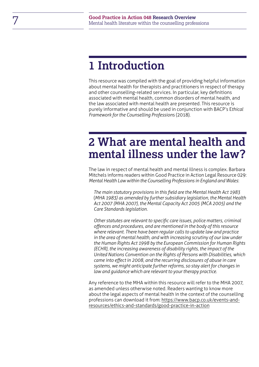## <span id="page-6-0"></span>**1 Introduction**

This resource was compiled with the goal of providing helpful information about mental health for therapists and practitioners in respect of therapy and other counselling-related services. In particular, key definitions associated with mental health, common disorders of mental health, and the law associated with mental health are presented. This resource is purely informative and should be used in conjunction with BACP's E*thical Framework for the Counselling Profession*s (2018).

## <span id="page-6-1"></span>**2 What are mental health and mental illness under the law?**

The law in respect of mental health and mental illness is complex. Barbara Mitchels informs readers within Good Practice in Action Legal Resource 029: *Mental Health Law within the Counselling Professions in England and Wales*:

*The main statutory provisions in this field are the Mental Health Act 1983*  (*MHA 1983) as amended by further subsidiary legislation, the Mental Health Act 2007 (MHA 2007), the Mental Capacity Act 2005 (MCA 2005) and the Care Standards legislation.*

*Other statutes are relevant to specific care issues, police matters, criminal offences and procedures, and are mentioned in the body of this resource where relevant. There have been regular calls to update law and practice in the area of mental health, and with increasing scrutiny of our law under the Human Rights Act 1998 by the European Commission for Human Rights (ECHR), the increasing awareness of disability rights, the impact of the United Nations Convention on the Rights of Persons with Disabilities, which came into effect in 2008, and the recurring disclosures of abuse in care systems, we might anticipate further reforms, so stay alert for changes in law and guidance which are relevant to your therapy practice.*

Any reference to the MHA within this resource will refer to the MHA 2007, as amended unless otherwise noted. Readers wanting to know more about the legal aspects of mental health in the context of the counselling professions can download it from: [https://www.bacp.co.uk/events-and](https://www.bacp.co.uk/events-and-resources/ethics-and-standards/good-practice-in-action)[resources/ethics-and-standards/good-practice-in-action](https://www.bacp.co.uk/events-and-resources/ethics-and-standards/good-practice-in-action)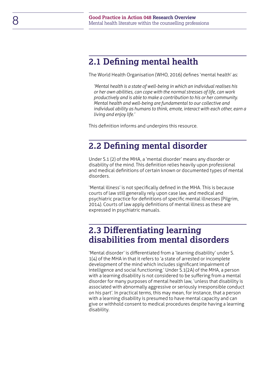### <span id="page-7-0"></span>**2.1 Defining mental health**

The World Health Organisation (WHO, 2016) defines 'mental health' as:

*'Mental health is a state of well-being in which an individual realises his or her own abilities, can cope with the normal stresses of life, can work productively and is able to make a contribution to his or her community. Mental health and well-being are fundamental to our collective and individual ability as humans to think, emote, interact with each other, earn a living and enjoy life.'*

This definition informs and underpins this resource.

### <span id="page-7-1"></span>**2.2 Defining mental disorder**

Under S.1 (2) of the MHA, a 'mental disorder' means any disorder or disability of the mind. This definition relies heavily upon professional and medical definitions of certain known or documented types of mental disorders.

'Mental illness' is not specifically defined in the MHA. This is because courts of law still generally rely upon case law, and medical and psychiatric practice for definitions of specific mental illnesses (Pilgrim, 2014). Courts of law apply definitions of mental illness as these are expressed in psychiatric manuals.

### <span id="page-7-2"></span>**2.3 Differentiating learning disabilities from mental disorders**

'Mental disorder' is differentiated from a 'learning disability' under S. 1(4) of the MHA in that it refers to 'a state of arrested or incomplete development of the mind which includes significant impairment of intelligence and social functioning.' Under S.1(2A) of the MHA, a person with a learning disability is not considered to be suffering from a mental disorder for many purposes of mental health law, 'unless that disability is associated with abnormally aggressive or seriously irresponsible conduct on his part'. In practical terms, this may mean, for instance, that a person with a learning disability is presumed to have mental capacity and can give or withhold consent to medical procedures despite having a learning disability.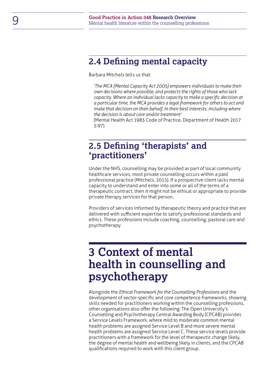### <span id="page-8-0"></span>**2.4 Defining mental capacity**

Barbara Mitchels tells us that:

*'The MCA [Mental Capacity Act 2005] empowers individuals to make their own decisions where possible, and protects the rights of those who lack capacity. Where an individual lacks capacity to make a specific decision at a particular time, the MCA provides a legal framework for others to act and make that decision on their behalf, in their best interests, including where the decision is about care and/or treatment'*

(Mental Health Act 1983 Code of Practice, Department of Health 2017 5:97).

### **2.5 Defining 'therapists' and 'practitioners'**

Under the NHS, counselling may be provided as part of local community healthcare services, most private counselling occurs within a paid professional practice (Mitchels, 2015). If a prospective client lacks mental capacity to understand and enter into some or all of the terms of a therapeutic contract, then it might not be ethical or appropriate to provide private therapy services for that person.

Providers of services informed by therapeutic theory and practice that are delivered with sufficient expertise to satisfy professional standards and ethics. These professions include coaching, counselling, pastoral care and psychotherapy.

## <span id="page-8-1"></span>**3 Context of mental health in counselling and psychotherapy**

Alongside the *Ethical Framework for the Counselling Professions* and the development of sector-specific and core competence frameworks, showing skills needed for practitioners working within the counselling professions, other organisations also offer the following: The Open University's Counselling and Psychotherapy Central Awarding Body (CPCAB) provides a Service Levels Framework, where mild to moderate common mental health problems are assigned Service Level B and more severe mental health problems are assigned Service Level C. These service levels provide practitioners with a framework for the level of therapeutic change likely, the degree of mental health and wellbeing likely in clients, and the CPCAB qualifications required to work with this client group.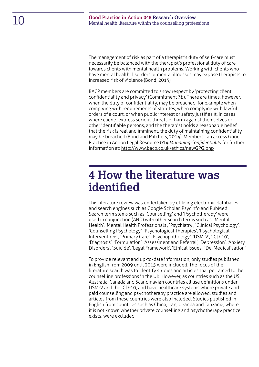The management of risk as part of a therapist's duty of self-care must necessarily be balanced with the therapist's professional duty of care towards clients with mental health problems. Working with clients who have mental health disorders or mental illnesses may expose therapists to increased risk of violence (Bond, 2015).

BACP members are committed to show respect by 'protecting client confidentiality and privacy' (Commitment 3b). There are times, however, when the duty of confidentiality, may be breached, for example when complying with requirements of statutes, when complying with lawful orders of a court, or when public interest or safety justifies it. In cases where clients express serious threats of harm against themselves or other identifiable persons, and the therapist holds a reasonable belief that the risk is real and imminent, the duty of maintaining confidentiality may be breached (Bond and Mitchels, 2014). Members can access Good Practice in Action Legal Resource 014 *Managing Confidentiality* for further information at:<http://www.bacp.co.uk/ethics/newGPG.php>

## <span id="page-9-0"></span>**4 How the literature was identified**

This literature review was undertaken by utilising electronic databases and search engines such as Google Scholar, PsycInfo and PubMed. Search term stems such as 'Counselling' and 'Psychotherapy' were used in conjunction (AND) with other search terms such as: 'Mental Health', 'Mental Health Professionals', 'Psychiatry', 'Clinical Psychology', 'Counselling Psychology', 'Psychological Therapies', 'Psychological Interventions', 'Primary Care', 'Psychopathology', 'DSM-V', 'ICD-10', 'Diagnosis', 'Formulation', 'Assessment and Referral', 'Depression', 'Anxiety Disorders', 'Suicide', 'Legal Framework', 'Ethical Issues', 'De-Medicalisation'.

To provide relevant and up-to-date information, only studies published in English from 2009 until 2015 were included. The focus of the literature search was to identify studies and articles that pertained to the counselling professions in the UK. However, as countries such as the US, Australia, Canada and Scandinavian countries all use definitions under DSM-V and the ICD-10, and have healthcare systems where private and paid counselling and psychotherapy practice are allowed, studies and articles from these countries were also included. Studies published in English from countries such as China, Iran, Uganda and Tanzania, where it is not known whether private counselling and psychotherapy practice exists, were excluded.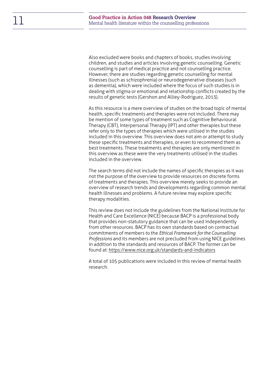Also excluded were books and chapters of books, studies involving children, and studies and articles involving genetic counselling. Genetic counselling is part of medical practice and not counselling practice. However, there are studies regarding genetic counselling for mental illnesses (such as schizophrenia) or neurodegenerative diseases (such as dementia), which were included where the focus of such studies is in dealing with stigma or emotional and relationship conflicts created by the results of genetic tests (Gershon and Alliey-Rodriguez, 2013).

As this resource is a mere overview of studies on the broad topic of mental health, specific treatments and therapies were not included. There may be mention of some types of treatment such as Cognitive Behavioural Therapy (CBT), Interpersonal Therapy (IPT) and other therapies but these refer only to the types of therapies which were utilised in the studies included in this overview. This overview does not aim or attempt to study these specific treatments and therapies, or even to recommend them as best treatments. These treatments and therapies are only mentioned in this overview as these were the very treatments utilised in the studies included in the overview.

The search terms did not include the names of specific therapies as it was not the purpose of the overview to provide resources on discrete forms of treatments and therapies. This overview merely seeks to provide an overview of research trends and developments regarding common mental health illnesses and problems. A future review may explore specific therapy modalities.

This review does not include the guidelines from the National Institute for Health and Care Excellence (NICE) because BACP is a professional body that provides non-statutory guidance that can be used independently from other resources. BACP has its own standards based on contractual commitments of members to the *Ethical Framework for the Counselling Professions* and its members are not precluded from using NICE guidelines in addition to the standards and resources of BACP. The former can be found at:<https://www.nice.org.uk/standards-and-indicators>

A total of 105 publications were included in this review of mental health research.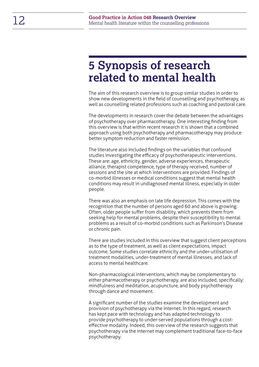## <span id="page-11-0"></span>**5 Synopsis of research related to mental health**

The aim of this research overview is to group similar studies in order to show new developments in the field of counselling and psychotherapy, as well as counselling related professions such as coaching and pastoral care.

The developments in research cover the debate between the advantages of psychotherapy over pharmacotherapy. One interesting finding from this overview is that within recent research it is shown that a combined approach using both psychotherapy and pharmacotherapy may produce better symptom reduction and faster remission.

The literature also included findings on the variables that confound studies investigating the efficacy of psychotherapeutic interventions. These are: age, ethnicity, gender, adverse experiences, therapeutic alliance, therapist competence, type of therapy received, number of sessions and the site at which interventions are provided. Findings of co-morbid illnesses or medical conditions suggest that mental health conditions may result in undiagnosed mental illness, especially in older people.

There was also an emphasis on late life depression. This comes with the recognition that the number of persons aged 60 and above is growing. Often, older people suffer from disability, which prevents them from seeking help for mental problems, despite their susceptibility to mental problems as a result of co-morbid conditions such as Parkinson's Disease or chronic pain.

There are studies included in this overview that suggest client perceptions as to the type of treatment, as well as client expectations, impact outcome. Some studies correlate ethnicity and the under-utilisation of treatment modalities, under-treatment of mental illnesses, and lack of access to mental healthcare.

Non-pharmacological interventions, which may be complementary to either pharmacotherapy or psychotherapy, are also included, specifically: mindfulness and meditation, acupuncture, and body psychotherapy through dance and movement.

A significant number of the studies examine the development and provision of psychotherapy via the internet. In this regard, research has kept pace with technology and has adapted technology to provide psychotherapy to under-served populations through a costeffective modality. Indeed, this overview of the research suggests that psychotherapy via the internet may complement traditional face-to-face psychotherapy.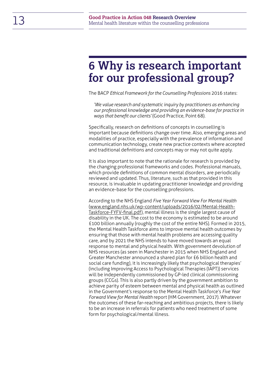## <span id="page-12-0"></span>**6 Why is research important for our professional group?**

The BACP *Ethical Framework for the Counselling Professions* 2016 states:

*'We value research and systematic inquiry by practitioners as enhancing our professional knowledge and providing an evidence-base for practice in ways that benefit our clients'* (Good Practice, Point 68).

Specifically, research on definitions of concepts in counselling is important because definitions change over time. Also, emerging areas and modalities of practice, especially with the prevalence of information and communication technology, create new practice contexts where accepted and traditional definitions and concepts may or may not quite apply.

It is also important to note that the rationale for research is provided by the changing professional frameworks and codes. Professional manuals, which provide definitions of common mental disorders, are periodically reviewed and updated. Thus, literature, such as that provided in this resource, is invaluable in updating practitioner knowledge and providing an evidence-base for the counselling professions.

According to the NHS England *Five Year Forward View For Mental Health* [\(www.england.nhs.uk/wp-content/uploads/2016/02/Mental-Health-](http://www.england.nhs.uk/wp-content/uploads/2016/02/Mental-Health-Taskforce-FYFV-final.pdf)[Taskforce-FYFV-final.pdf](http://www.england.nhs.uk/wp-content/uploads/2016/02/Mental-Health-Taskforce-FYFV-final.pdf)), mental illness is the single largest cause of disability in the UK. The cost to the economy is estimated to be around £100 billion annually (roughly the cost of the entire NHS). Formed in 2015, the Mental Health Taskforce aims to improve mental health outcomes by ensuring that those with mental health problems are accessing quality care, and by 2021 the NHS intends to have moved towards an equal response to mental and physical health. With government devolution of NHS resources (as seen in Manchester in 2015 when NHS England and Greater Manchester announced a shared plan for £6 billion health and social care funding), it is increasingly likely that psychological therapies' (including Improving Access to Psychological Therapies (IAPT)) services will be independently commissioned by GP-led clinical commissioning groups (CCGs). This is also partly driven by the government ambition to achieve parity of esteem between mental and physical health as outlined in the Government's response to the Mental Health Taskforce's *Five Year Forward View for Mental Health* report (HM Government, 2017). Whatever the outcomes of these far-reaching and ambitious projects, there is likely to be an increase in referrals for patients who need treatment of some form for psychological/mental illness.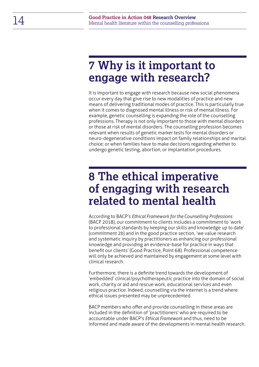## <span id="page-13-0"></span>**7 Why is it important to engage with research?**

It is important to engage with research because new social phenomena occur every day that give rise to new modalities of practice and new means of delivering traditional modes of practice. This is particularly true when it comes to diagnosed mental illness or risk of mental illness. For example, genetic counselling is expanding the role of the counselling professions. Therapy is not only important to those with mental disorders or those at risk of mental disorders. The counselling profession becomes relevant when results of genetic marker tests for mental disorders or neuro-degenerative conditions impact on family relationships and marital choice; or when families have to make decisions regarding whether to undergo genetic testing, abortion, or implantation procedures.

## <span id="page-13-1"></span>**8 The ethical imperative of engaging with research related to mental health**

According to BACP's *Ethical Framework for the Counselling Professions* (BACP 2018), our commitment to clients includes a commitment to 'work to professional standards by keeping our skills and knowledge up to date' (commitment 2b) and in the good practice section, 'we value research and systematic inquiry by practitioners as enhancing our professional knowledge and providing an evidence-base for practice in ways that benefit our clients' (Good Practice, Point 68). Professional competence will only be achieved and maintained by engagement at some level with clinical research.

Furthermore, there is a definite trend towards the development of 'embedded' clinical/psychotherapeutic practice into the domain of social work, charity or aid and rescue work, educational services and even religious practice. Indeed, counselling via the internet is a trend where ethical issues presented may be unprecedented.

BACP members who offer and provide counselling in these areas are included in the definition of 'practitioners' who are required to be accountable under BACP's *Ethical Framework* and thus, need to be informed and made aware of the developments in mental health research.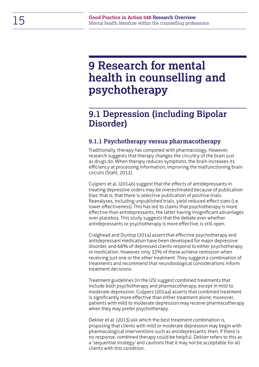## <span id="page-14-0"></span>**9 Research for mental health in counselling and psychotherapy**

### <span id="page-14-1"></span>**9.1 Depression (including Bipolar Disorder)**

#### <span id="page-14-2"></span>**9.1.1 Psychotherapy versus pharmacotherapy**

Traditionally, therapy has competed with pharmacology. However, research suggests that therapy changes the circuitry of the brain just as drugs do. When therapy reduces symptoms, the brain increases its efficiency at processing information, improving the malfunctioning brain circuits (Stahl, 2012).

Cuijpers et al. (2014b) suggest that the effects of antidepressants in treating depressive orders may be overestimated because of publication bias; that is, that there is selective publication of positive trials. Reanalyses, including unpublished trials, yield reduced effect sizes (i.e. lower effectiveness). This has led to claims that psychotherapy is more effective than antidepressants, the latter having insignificant advantages over placebos. This study suggests that the debate over whether antidepressants or psychotherapy is more effective, is still open.

Craighead and Dunlop (2014) assert that effective psychotherapy and antidepressant medication have been developed for major depressive disorder, and 66% of depressed clients respond to either psychotherapy or medication. However, only 33% of these achieve remission when receiving just one or the other treatment. They suggest a combination of treatments and recommend that neurobiological considerations inform treatment decisions.

Treatment guidelines (in the US) suggest combined treatments that include both psychotherapy and pharmacotherapy, except in mild to moderate depression. Cuijpers (2014a) asserts that combined treatment is significantly more effective than either treatment alone; moreover, patients with mild to moderate depression may receive pharmacotherapy when they may prefer psychotherapy.

Dekker et al. (2013) ask which the best treatment combination is, proposing that clients with mild or moderate depression may begin with pharmacological interventions such as antidepressants; then, if there is no response, combined therapy could be helpful. Dekker refers to this as a 'sequential strategy' and cautions that it may not be acceptable for all clients with this condition.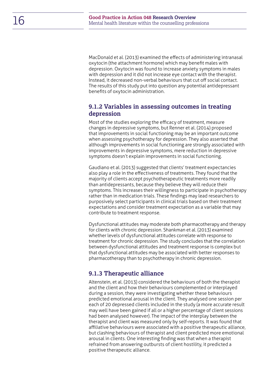MacDonald et al. (2013) examined the effects of administering intranasal oxytocin (the attachment hormone) which may benefit males with depression. Oxytocin was found to increase anxiety symptoms in males with depression and it did not increase eye contact with the therapist. Instead, it decreased non-verbal behaviours that cut off social contact. The results of this study put into question any potential antidepressant benefits of oxytocin administration.

#### <span id="page-15-0"></span>**9.1.2 Variables in assessing outcomes in treating depression**

Most of the studies exploring the efficacy of treatment, measure changes in depressive symptoms, but Renner et al. (2014) proposed that improvements in social functioning may be an important outcome when assessing psychotherapy for depression. They also asserted that although improvements in social functioning are strongly associated with improvements in depressive symptoms, mere reduction in depressive symptoms doesn't explain improvements in social functioning.

Gaudiano et al. (2013) suggested that clients' treatment expectancies also play a role in the effectiveness of treatments. They found that the majority of clients accept psychotherapeutic treatments more readily than antidepressants, because they believe they will reduce their symptoms. This increases their willingness to participate in psychotherapy rather than in medication trials. These findings may lead researchers to purposively select participants in clinical trials based on their treatment expectations and consider treatment expectation as a variable that may contribute to treatment response.

Dysfunctional attitudes may moderate both pharmacotherapy and therapy for clients with chronic depression. Shankman et al. (2013) examined whether levels of dysfunctional attitudes correlate with response to treatment for chronic depression. The study concludes that the correlation between dysfunctional attitudes and treatment response is complex but that dysfunctional attitudes may be associated with better responses to pharmacotherapy than to psychotherapy in chronic depression.

#### <span id="page-15-1"></span>**9.1.3 Therapeutic alliance**

Altenstein, et al. (2013) considered the behaviours of both the therapist and the client and how their behaviours complemented or interplayed during a session, they were investigating whether these behaviours predicted emotional arousal in the client. They analysed one session per each of 20 depressed clients included in the study (a more accurate result may well have been gained if all or a higher percentage of client sessions had been analysed however). The impact of the interplay between the therapist and client was measured only by self-reports. It was found that affiliative behaviours were associated with a positive therapeutic alliance, but clashing behaviours of therapist and client predicted more emotional arousal in clients. One interesting finding was that when a therapist refrained from answering outbursts of client hostility, it predicted a positive therapeutic alliance.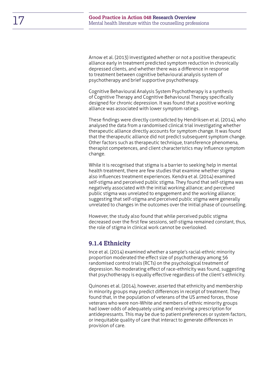Arnow et al. (2013) investigated whether or not a positive therapeutic alliance early in treatment predicted symptom reduction in chronically depressed clients, and whether there was a difference in response to treatment between cognitive behavioural analysis system of psychotherapy and brief supportive psychotherapy.

Cognitive Behavioural Analysis System Psychotherapy is a synthesis of Cognitive Therapy and Cognitive Behavioural Therapy specifically designed for chronic depression. It was found that a positive working alliance was associated with lower symptom ratings.

These findings were directly contradicted by Hendriksen et al. (2014), who analysed the data from a randomised clinical trial investigating whether therapeutic alliance directly accounts for symptom change. It was found that the therapeutic alliance did not predict subsequent symptom change. Other factors such as therapeutic technique, transference phenomena, therapist competences, and client characteristics may influence symptom change.

While it is recognised that stigma is a barrier to seeking help in mental health treatment, there are few studies that examine whether stigma also influences treatment experiences. Kendra et al. (2014) examined self-stigma and perceived public stigma. They found that self-stigma was negatively associated with the initial working alliance; and perceived public stigma was unrelated to engagement and the working alliance; suggesting that self-stigma and perceived public stigma were generally unrelated to changes in the outcomes over the initial phase of counselling.

However, the study also found that while perceived public stigma decreased over the first few sessions, self-stigma remained constant, thus, the role of stigma in clinical work cannot be overlooked.

#### <span id="page-16-0"></span>**9.1.4 Ethnicity**

Ince et al. (2014) examined whether a sample's racial-ethnic minority proportion moderated the effect size of psychotherapy among 56 randomised control trials (RCTs) on the psychological treatment of depression. No moderating effect of race-ethnicity was found, suggesting that psychotherapy is equally effective regardless of the client's ethnicity.

Quinones et al. (2014), however, asserted that ethnicity and membership in minority groups may predict differences in receipt of treatment. They found that, in the population of veterans of the US armed forces, those veterans who were non-White and members of ethnic minority groups had lower odds of adequately using and receiving a prescription for antidepressants. This may be due to patient preferences or system factors, or inequitable quality of care that interact to generate differences in provision of care.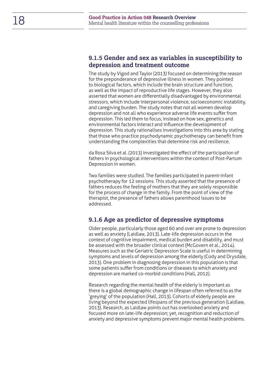#### <span id="page-17-0"></span>**9.1.5 Gender and sex as variables in susceptibility to depression and treatment outcome**

The study by Vigod and Taylor (2013) focused on determining the reason for the preponderance of depressive illness in women. They pointed to biological factors, which include the brain structure and function, as well as the impact of reproductive life stages. However, they also asserted that women are differentially disadvantaged by environmental stressors, which include interpersonal violence, socioeconomic instability, and caregiving burden. The study notes that not all women develop depression and not all who experience adverse life events suffer from depression. This led them to focus, instead on how sex, genetics and environmental factors interact and influence the development of depression. This study rationalises investigations into this area by stating that those who practice psychodynamic psychotherapy can benefit from understanding the complexities that determine risk and resilience.

da Rosa Silva et al. (2013) investigated the effect of the participation of fathers in psychological interventions within the context of Post-Partum Depression in women.

Two families were studied. The families participated in parent-infant psychotherapy for 12 sessions. This study asserted that the presence of fathers reduces the feeling of mothers that they are solely responsible for the process of change in the family. From the point of view of the therapist, the presence of fathers allows parenthood issues to be addressed.

#### <span id="page-17-1"></span>**9.1.6 Age as predictor of depressive symptoms**

Older people, particularly those aged 60 and over are prone to depression as well as anxiety (Laidlaw, 2013). Late-life depression occurs in the context of cognitive impairment, medical burden and disability, and must be assessed with the broader clinical context (McGovern et al., 2014). Measures such as the Geriatric Depression Scale is useful in determining symptoms and levels of depression among the elderly (Cody and Drysdale, 2013). One problem in diagnosing depression in this population is that some patients suffer from conditions or diseases to which anxiety and depression are marked co-morbid conditions (Hall, 2012).

Research regarding the mental health of the elderly is important as there is a global demographic change in lifespan often referred to as the 'greying' of the population (Hall, 2013). Cohorts of elderly people are living beyond the expected lifespans of the previous generation (Laidlaw, 2013). Research, as Laidlaw points out has overlooked anxiety and focused more on late-life depression; yet, recognition and reduction of anxiety and depressive symptoms prevent major mental health problems.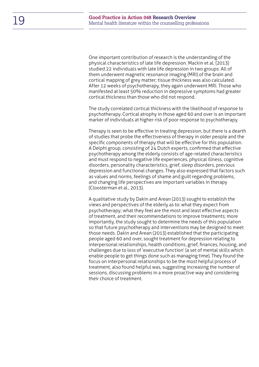One important contribution of research is the understanding of the physical characteristics of late life depression. Mackin et al. (2013) studied 22 individuals with late life depression in two groups. All of them underwent magnetic resonance imaging (MRI) of the brain and cortical mapping of grey matter; tissue thickness was also calculated. After 12 weeks of psychotherapy, they again underwent MRI. Those who manifested at least 50% reduction in depressive symptoms had greater cortical thickness than those who did not respond.

The study correlated cortical thickness with the likelihood of response to psychotherapy. Cortical atrophy in those aged 60 and over is an important marker of individuals at higher risk of poor response to psychotherapy.

Therapy is seen to be effective in treating depression, but there is a dearth of studies that probe the effectiveness of therapy in older people and the specific components of therapy that will be effective for this population. A Delphi group, consisting of 24 Dutch experts, confirmed that effective psychotherapy among the elderly consists of age-related characteristics and must respond to negative life experiences, physical illness, cognitive disorders, personality characteristics, grief, sleep disorders, previous depression and functional changes. They also expressed that factors such as values and norms, feelings of shame and guilt regarding problems, and changing life perspectives are important variables in therapy (Cloosterman et al., 2013).

A qualitative study by Dakin and Arean (2013) sought to establish the views and perspectives of the elderly as to: what they expect from psychotherapy; what they feel are the most and least effective aspects of treatment, and their recommendations to improve treatments; more importantly, the study sought to determine the needs of this population so that future psychotherapy and interventions may be designed to meet those needs. Dakin and Arean (2013) established that the participating people aged 60 and over, sought treatment for depression relating to interpersonal relationships, health conditions, grief, finances, housing, and challenges due to loss of 'executive function' (a set of mental skills which enable people to get things done such as managing time). They found the focus on interpersonal relationships to be the most helpful process of treatment, also found helpful was, suggesting increasing the number of sessions, discussing problems in a more proactive way and considering their choice of treatment.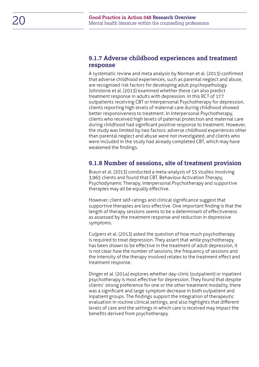#### <span id="page-19-0"></span>**9.1.7 Adverse childhood experiences and treatment response**

A systematic review and meta analysis by Norman et al. (2013) confirmed that adverse childhood experiences, such as parental neglect and abuse, are recognised risk factors for developing adult psychopathology. Johnstone et al. (2013) examined whether these can also predict treatment response in adults with depression. In this RCT of 177 outpatients receiving CBT or Interpersonal Psychotherapy for depression, clients reporting high levels of maternal care during childhood showed better responsiveness to treatment. In Interpersonal Psychotherapy, clients who received high levels of paternal protection and maternal care during childhood had significant positive response to treatment. However, the study was limited by two factors: adverse childhood experiences other than parental neglect and abuse were not investigated, and clients who were included in the study had already completed CBT, which may have weakened the findings.

#### <span id="page-19-1"></span>**9.1.8 Number of sessions, site of treatment provision**

Braun et al. (2013) conducted a meta-analysis of 53 studies involving 3,965 clients and found that CBT, Behaviour Activation Therapy, Psychodynamic Therapy, Interpersonal Psychotherapy and supportive therapies may all be equally effective.

However, client self-ratings and clinical significance suggest that supportive therapies are less effective. One important finding is that the length of therapy sessions seems to be a determinant of effectiveness as assessed by the treatment response and reduction in depressive symptoms.

Cuijpers et al. (2013) asked the question of how much psychotherapy is required to treat depression. They assert that while psychotherapy has been shown to be effective in the treatment of adult depression, it is not clear how the number of sessions, the frequency of sessions and the intensity of the therapy involved relates to the treatment effect and treatment response.

Dinger et al. (2014) explores whether day-clinic (outpatient) or inpatient psychotherapy is most effective for depression. They found that despite clients' strong preference for one or the other treatment modality, there was a significant and large symptom decrease in both outpatient and inpatient groups. The findings support the integration of therapeutic evaluation in routine clinical settings, and also highlights that different levels of care and the settings in which care is received may impact the benefits derived from psychotherapy.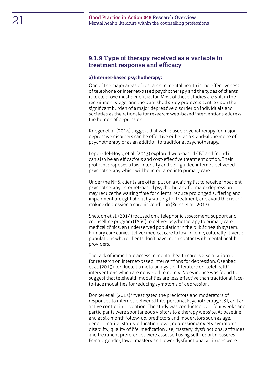#### <span id="page-20-0"></span>**9.1.9 Type of therapy received as a variable in treatment response and efficacy**

#### <span id="page-20-1"></span>**a) Internet-based psychotherapy:**

One of the major areas of research in mental health is the effectiveness of telephone or internet-based psychotherapy and the types of clients it could prove most beneficial for. Most of these studies are still in the recruitment stage, and the published study protocols centre upon the significant burden of a major depressive disorder on individuals and societies as the rationale for research: web-based interventions address the burden of depression.

Krieger et al. (2014) suggest that web-based psychotherapy for major depressive disorders can be effective either as a stand-alone mode of psychotherapy or as an addition to traditional psychotherapy.

Lopez-del-Hoyo, et al. (2013) explored web-based CBT and found it can also be an efficacious and cost-effective treatment option. Their protocol proposes a low-intensity and self-guided internet-delivered psychotherapy which will be integrated into primary care.

Under the NHS, clients are often put on a waiting list to receive inpatient psychotherapy. Internet-based psychotherapy for major depression may reduce the waiting time for clients, reduce prolonged suffering and impairment brought about by waiting for treatment, and avoid the risk of making depression a chronic condition (Reins et al., 2013).

Sheldon et al. (2014) focused on a telephonic assessment, support and counselling program (TASC) to deliver psychotherapy to primary care medical clinics, an underserved population in the public health system. Primary care clinics deliver medical care to low-income, culturally-diverse populations where clients don't have much contact with mental health providers.

The lack of immediate access to mental health care is also a rationale for research on internet-based interventions for depression. Osenbac et al. (2013) conducted a meta-analysis of literature on 'telehealth' interventions which are delivered remotely. No evidence was found to suggest that telehealth modalities are less effective than traditional faceto-face modalities for reducing symptoms of depression.

Donker et al. (2013) investigated the predictors and moderators of responses to internet-delivered Interpersonal Psychotherapy, CBT, and an active control intervention. The study was conducted over four weeks and participants were spontaneous visitors to a therapy website. At baseline and at six-month follow-up, predictors and moderators such as age, gender, marital status, education level, depression/anxiety symptoms, disability, quality of life, medication use, mastery, dysfunctional attitudes, and treatment preferences were assessed using self-report measures. Female gender, lower mastery and lower dysfunctional attitudes were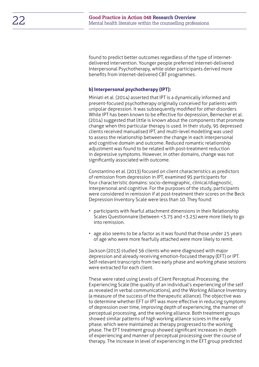found to predict better outcomes regardless of the type of internetdelivered intervention. Younger people preferred internet-delivered Interpersonal Psychotherapy, while older participants derived more benefits from internet-delivered CBT programmes.

#### **b) Interpersonal psychotherapy (IPT):**

Miniati et al. (2014) asserted that IPT is a dynamically informed and present-focused psychotherapy originally conceived for patients with unipolar depression. It was subsequently modified for other disorders. While IPT has been known to be effective for depression, Bernecker et al. (2014) suggested that little is known about the components that promote change when this particular therapy is used. In their study, 95 depressed clients received manualised IPT, and multi-level modelling was used to assess the relationship between the change in each interpersonal and cognitive domain and outcome. Reduced romantic relationship adjustment was found to be related with post-treatment reduction in depressive symptoms. However, in other domains, change was not significantly associated with outcome.

Constantino et al. (2013) focused on client characteristics as predictors of remission from depression in IPT, examined 95 participants for four characteristic domains: socio-demographic, clinical/diagnostic, interpersonal and cognitive. For the purposes of the study, participants were considered in remission if at post-treatment their scores on the Beck Depression Inventory Scale were less than 10. They found:

- participants with fearful attachment dimensions in their Relationship Scales Questionnaire (between <3.75 and <3.25) were more likely to go into remission.
- age also seems to be a factor as it was found that those under 25 years of age who were more fearfully attached were more likely to remit.

Jackson (2013) studied 56 clients who were diagnosed with major depression and already receiving emotion-focused therapy (EFT) or IPT. Self-relevant transcripts from two early phase and working phase sessions were extracted for each client.

These were rated using Levels of Client Perceptual Processing, the Experiencing Scale (the quality of an individual's experiencing of the self as revealed in verbal communications), and the Working Alliance Inventory (a measure of the success of the therapeutic alliance). The objective was to determine whether EFT or IPT was more effective in reducing symptoms of depression over time, improving depth of experiencing, the manner of perceptual processing, and the working alliance. Both treatment groups showed similar patterns of high working alliance scores in the early phase, which were maintained as therapy progressed to the working phase. The EFT treatment group showed significant increases in depth of experiencing and manner of perceptual processing over the course of therapy. The increase in level of experiencing in the EFT group predicted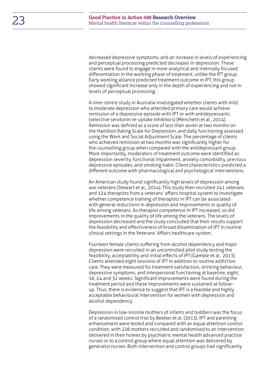decreased depressive symptoms, and an increase in levels of experiencing and perceptual processing predicted decreases in depression. These clients were found to engage in more analytical and internally focused differentiation in the working phase of treatment, unlike the IPT group. Early working alliance predicted treatment outcome in IPT; this group showed significant increase only in the depth of experiencing and not in levels of perceptual processing.

A nine-centre study in Australia investigated whether clients with mild to moderate depression who attended primary care would achieve remission of a depressive episode with IPT or with antidepressants (selective serotonin re-uptake inhibitors) (Menchetti et al., 2014). Remission was defined as a score of less than seven at two months on the Hamilton Rating Scale for Depression, and daily functioning assessed using the Work and Social Adjustment Scale. The percentage of clients who achieved remission at two months was significantly higher for the counselling group when compared with the antidepressant group. More importantly, moderators of treatment outcome were identified as: depression severity, functional impairment, anxiety comorbidity, previous depressive episodes, and smoking habit. Client characteristics predicted a different outcome with pharmacological and psychological interventions.

An American study found significantly high levels of depression among war veterans (Stewart et al., 2014). This study then recruited 241 veterans and 124 therapists from a veterans' affairs hospital system to investigate whether competence training of therapists in IPT can be associated with general reductions in depression and improvements in quality of life among veterans. As therapist competence in IPT increased, so did improvements in the quality of life among the veterans. The levels of depression decreased and the study concluded that their results support the feasibility and effectiveness of broad dissemination of IPT in routine clinical settings in the Veterans' Affairs healthcare system.

Fourteen female clients suffering from alcohol dependency and major depression were recruited in an uncontrolled pilot study testing the feasibility, acceptability and initial effects of IPT (Gamble et al., 2013). Clients attended eight sessions of IPT in addition to routine addiction care. They were measured for treatment satisfaction, drinking behaviour, depressive symptoms, and interpersonal functioning at baseline, eight, 16, 24 and 32 weeks. Significant improvements were found during the treatment period and these improvements were sustained at followup. Thus, there is evidence to suggest that IPT is a feasible and highly acceptable behavioural intervention for women with depression and alcohol dependency.

Depression in low-income mothers of infants and toddlers was the focus of a randomised control trial by Beeber et al. (2013). IPT and parenting enhancement were tested and compared with an equal attention control condition, with 226 mothers recruited and randomised to an intervention delivered in their homes by psychiatric mental health advanced practice nurses or to a control group where equal attention was delivered by generalist nurses. Both intervention and control groups had significantly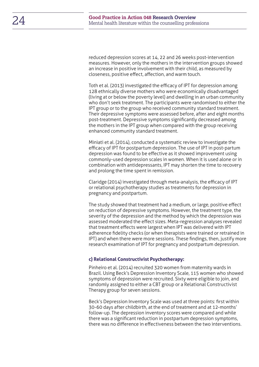reduced depression scores at 14, 22 and 26 weeks post-intervention measures. However, only the mothers in the intervention groups showed an increase in positive involvement with their child, as measured by closeness, positive effect, affection, and warm touch.

Toth et al. (2013) investigated the efficacy of IPT for depression among 128 ethnically diverse mothers who were economically disadvantaged (living at or below the poverty level) and dwelling in an urban community who don't seek treatment. The participants were randomised to either the IPT group or to the group who received community standard treatment. Their depressive symptoms were assessed before, after and eight months post-treatment. Depressive symptoms significantly decreased among the mothers in the IPT group when compared with the group receiving enhanced community standard treatment.

Miniati et al. (2014), conducted a systematic review to investigate the efficacy of IPT for postpartum depression. The use of IPT in post-partum depression was found to be effective as it showed improvement using commonly-used depression scales in women. When it is used alone or in combination with antidepressants, IPT may shorten the time to recovery and prolong the time spent in remission.

Claridge (2014) investigated through meta-analysis, the efficacy of IPT or relational psychotherapy studies as treatments for depression in pregnancy and postpartum.

The study showed that treatment had a medium, or large, positive effect on reduction of depressive symptoms. However, the treatment type, the severity of the depression and the method by which the depression was assessed moderated the effect sizes. Meta-regression analyses revealed that treatment effects were largest when IPT was delivered with IPT adherence fidelity checks (or when therapists were trained or retrained in IPT) and when there were more sessions. These findings, then, justify more research examination of IPT for pregnancy and postpartum depression.

#### **c) Relational Constructivist Psychotherapy:**

Pinheiro et al. (2014) recruited 320 women from maternity wards in Brazil. Using Beck's Depression Inventory Scale, 115 women who showed symptoms of depression were recruited. Sixty were eligible to join, and randomly assigned to either a CBT group or a Relational Constructivist Therapy group for seven sessions.

Beck's Depression Inventory Scale was used at three points: first within 30-60 days after childbirth, at the end of treatment and at 12-months' follow-up. The depression inventory scores were compared and while there was a significant reduction in postpartum depression symptoms, there was no difference in effectiveness between the two interventions.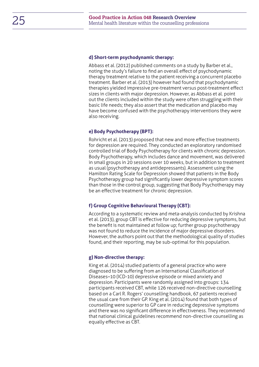#### **d) Short-term psychodynamic therapy:**

Abbass et al. (2012) published comments on a study by Barber et al., noting the study's failure to find an overall effect of psychodynamic therapy treatment relative to the patient receiving a concurrent placebo treatment. Barber et al. (2013) however had found that psychodynamic therapies yielded impressive pre-treatment versus post-treatment effect sizes in clients with major depression. However, as Abbass et al. point out the clients included within the study were often struggling with their basic life needs; they also assert that the medication and placebo may have become confused with the psychotherapy interventions they were also receiving.

#### **e) Body Psychotherapy (BPT):**

Rohricht et al. (2013) proposed that new and more effective treatments for depression are required. They conducted an exploratory randomised controlled trial of Body Psychotherapy for clients with chronic depression. Body Psychotherapy, which includes dance and movement, was delivered in small groups in 20 sessions over 10 weeks, but in addition to treatment as usual (psychotherapy and antidepressants). Assessment using the Hamilton Rating Scale for Depression showed that patients in the Body Psychotherapy group had significantly lower depressive symptom scores than those in the control group, suggesting that Body Psychotherapy may be an effective treatment for chronic depression.

#### **f) Group Cognitive Behavioural Therapy (CBT):**

According to a systematic review and meta-analysis conducted by Krishna et al. (2013), group CBT is effective for reducing depressive symptoms, but the benefit is not maintained at follow up; further group psychotherapy was not found to reduce the incidence of major depressive disorders. However, the authors point out that the methodological quality of studies found, and their reporting, may be sub-optimal for this population.

#### **g) Non-directive therapy:**

King et al. (2014) studied patients of a general practice who were diagnosed to be suffering from an International Classification of Diseases–10 (ICD-10) depressive episode or mixed anxiety and depression. Participants were randomly assigned into groups: 134 participants received CBT, while 126 received non-directive counselling based on a Carl R. Rogers' counselling handbook, 67 patients received the usual care from their GP. King et al. (2014) found that both types of counselling were superior to GP care in reducing depressive symptoms and there was no significant difference in effectiveness. They recommend that national clinical guidelines recommend non-directive counselling as equally effective as CBT.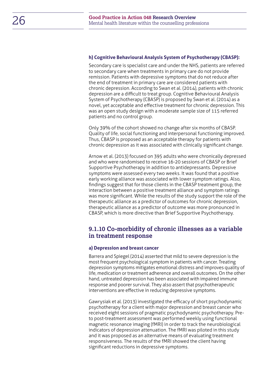#### **h) Cognitive Behavioural Analysis System of Psychotherapy (CBASP):**

Secondary care is specialist care and under the NHS, patients are referred to secondary care when treatments in primary care do not provide remission. Patients with depressive symptoms that do not reduce after the end of treatment in primary care are considered patients with chronic depression. According to Swan et al. (2014), patients with chronic depression are a difficult to treat group. Cognitive Behavioural Analysis System of Psychotherapy (CBASP) is proposed by Swan et al. (2014) as a novel, yet acceptable and effective treatment for chronic depression. This was an open study design with a moderate sample size of 115 referred patients and no control group.

Only 39% of the cohort showed no change after six months of CBASP. Quality of life, social functioning and interpersonal functioning improved. Thus, CBASP is proposed as an acceptable therapy for patients with chronic depression as it was associated with clinically significant change.

Arnow et al. (2013) focused on 395 adults who were chronically depressed and who were randomised to receive 16-20 sessions of CBASP or Brief Supportive Psychotherapy in addition to antidepressants. Depressive symptoms were assessed every two weeks. It was found that a positive early working alliance was associated with lower symptom ratings. Also, findings suggest that for those clients in the CBASP treatment group, the interaction between a positive treatment alliance and symptom ratings was more significant. While the results of the study support the role of the therapeutic alliance as a predictor of outcomes for chronic depression, therapeutic alliance as a predictor of outcome was more pronounced in CBASP, which is more directive than Brief Supportive Psychotherapy.

#### <span id="page-25-0"></span>**9.1.10 Co-morbidity of chronic illnesses as a variable in treatment response**

#### <span id="page-25-1"></span>**a) Depression and breast cancer**

Barrera and Spiegel (2014) asserted that mild to severe depression is the most frequent psychological symptom in patients with cancer. Treating depression symptoms mitigates emotional distress and improves quality of life, medication or treatment adherence and overall outcomes. On the other hand, untreated depression has been associated with impaired immune response and poorer survival. They also assert that psychotherapeutic interventions are effective in reducing depressive symptoms.

Gawrysiak et al. (2013) investigated the efficacy of short psychodynamic psychotherapy for a client with major depression and breast cancer who received eight sessions of pragmatic psychodynamic psychotherapy. Preto post-treatment assessment was performed weekly using functional magnetic resonance imaging (fMRI) in order to track the neurobiological indicators of depression attenuation. The fMRI was piloted in this study and it was proposed as an alternative means of evaluating treatment responsiveness. The results of the fMRI showed the client having significant reductions in depressive symptoms.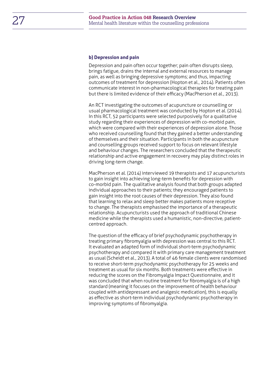#### <span id="page-26-0"></span>**b) Depression and pain**

Depression and pain often occur together; pain often disrupts sleep, brings fatigue, drains the internal and external resources to manage pain, as well as bringing depressive symptoms; and thus, impacting outcomes of treatment for depression (Hopton et al., 2014). Patients often communicate interest in non-pharmacological therapies for treating pain but there is limited evidence of their efficacy (MacPherson et al., 2013).

An RCT investigating the outcomes of acupuncture or counselling or usual pharmacological treatment was conducted by Hopton et al. (2014). In this RCT, 52 participants were selected purposively for a qualitative study regarding their experiences of depression with co-morbid pain, which were compared with their experiences of depression alone. Those who received counselling found that they gained a better understanding of themselves and their situation. Participants in both the acupuncture and counselling groups received support to focus on relevant lifestyle and behaviour changes. The researchers concluded that the therapeutic relationship and active engagement in recovery may play distinct roles in driving long-term change.

MacPherson et al. (2014) interviewed 19 therapists and 17 acupuncturists to gain insight into achieving long-term benefits for depression with co-morbid pain. The qualitative analysis found that both groups adapted individual approaches to their patients; they encouraged patients to gain insight into the root causes of their depression. They also found that learning to relax and sleep better makes patients more receptive to change. The therapists emphasised the importance of a therapeutic relationship. Acupuncturists used the approach of traditional Chinese medicine while the therapists used a humanistic, non-directive, patientcentred approach.

The question of the efficacy of brief psychodynamic psychotherapy in treating primary fibromyalgia with depression was central to this RCT. It evaluated an adapted form of individual short-term psychodynamic psychotherapy and compared it with primary care management treatment as usual (Scheidt et al., 2013). A total of 46 female clients were randomised to receive short-term psychodynamic psychotherapy for 25 weeks and treatment as usual for six months. Both treatments were effective in reducing the scores on the Fibromyalgia Impact Questionnaire, and it was concluded that when routine treatment for fibromyalgia is of a high standard (meaning it focuses on the improvement of health behaviour coupled with antidepressant and analgesic medication), this is equally as effective as short-term individual psychodynamic psychotherapy in improving symptoms of fibromyalgia.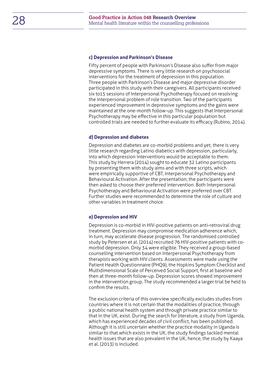#### **c) Depression and Parkinson's Disease**

Fifty percent of people with Parkinson's Disease also suffer from major depressive symptoms. There is very little research on psychosocial interventions for the treatment of depression in this population. Three people with Parkinson's Disease and major depressive disorder participated in this study with their caregivers. All participants received six to15 sessions of Interpersonal Psychotherapy focused on resolving the interpersonal problem of role transition. Two of the participants experienced improvement in depressive symptoms and the gains were maintained at the one-month follow-up. This suggests that Interpersonal Psychotherapy may be effective in this particular population but controlled trials are needed to further evaluate its efficacy (Rubino, 2014).

#### **d) Depression and diabetes**

Depression and diabetes are co-morbid problems and yet, there is very little research regarding Latino diabetics with depression, particularly, into which depression interventions would be acceptable to them. This study by Herrera (2014) sought to educate 32 Latino participants by presenting them with study aims and with three scripts, which were empirically supportive of CBT, Interpersonal Psychotherapy and Behavioural Activation. After the presentation, the participants were then asked to choose their preferred intervention. Both Interpersonal Psychotherapy and Behavioural Activation were preferred over CBT. Further studies were recommended to determine the role of culture and other variables in treatment choice.

#### **e) Depression and HIV**

Depression is co-morbid in HIV-positive patients on anti-retroviral drug treatment. Depression may compromise medication adherence which, in turn, may accelerate disease progression. The randomised controlled study by Petersen et al. (2014) recruited 76 HIV-positive patients with comorbid depression. Only 34 were eligible. They received a group-based counselling intervention based on Interpersonal Psychotherapy from therapists working with HIV clients. Assessments were made using the Patient Health Questionnaire (PHQ9), the Hopkins Symptom Checklist and Multidimensional Scale of Perceived Social Support, first at baseline and then at three-month follow-up. Depression scores showed improvement in the intervention group. The study recommended a larger trial be held to confirm the results.

The exclusion criteria of this overview specifically excludes studies from countries where it is not certain that the modalities of practice, through a public national health system and through private practice similar to that in the UK, exist. During the search for literature, a study from Uganda, which has experienced decades of civil conflict, has been published. Although it is still uncertain whether the practice modality in Uganda is similar to that which exists in the UK, the study findings tackled mental health issues that are also prevalent in the UK, hence, the study by Kaaya et al. (2013) is included.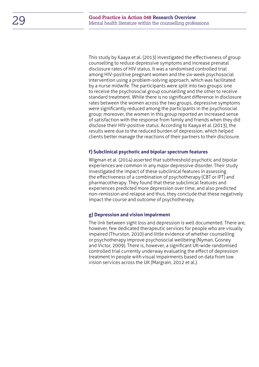This study by Kaaya et al. (2013) investigated the effectiveness of group counselling to reduce depressive symptoms and increase prenatal disclosure rates of HIV status. It was a randomised controlled trial among HIV-positive pregnant women and the six-week psychosocial intervention using a problem-solving approach, which was facilitated by a nurse midwife. The participants were split into two groups: one to receive the psychosocial group counselling and the other to receive standard treatment. While there is no significant difference in disclosure rates between the women across the two groups, depressive symptoms were significantly reduced among the participants in the psychosocial group; moreover, the women in this group reported an increased sense of satisfaction with the response from family and friends when they did disclose their HIV-positive status. According to Kaaya et al. (2013), the results were due to the reduced burden of depression, which helped clients better manage the reactions of their partners to their disclosure.

#### **f) Subclinical psychotic and bipolar spectrum features**

Wigman et al. (2014) asserted that subthreshold psychotic and bipolar experiences are common in any major depressive disorder. Their study investigated the impact of these subclinical features in assessing the effectiveness of a combination of psychotherapy (CBT or IPT) and pharmacotherapy. They found that these subclinical features and experiences predicted more depression over time, and also predicted non-remission and relapse and thus, they conclude that these negatively impact the course and outcome of psychotherapy.

#### **g) Depression and vision impairment**

The link between sight loss and depression is well documented. There are, however, few dedicated therapeutic services for people who are visually impaired (Thurston, 2010) and little evidence of whether counselling or psychotherapy improve psychosocial wellbeing (Nyman, Gosney and Victor, 2009). There is, however, a significant UK-wide randomised controlled trial currently underway evaluating the effect of depression treatment in people with visual impairments based on data from low vision services across the UK (Margrain, 2012 et al.).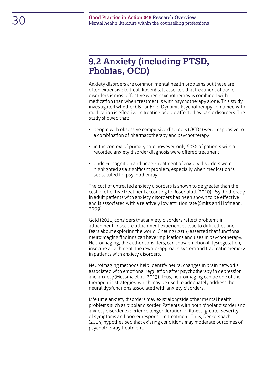### <span id="page-29-0"></span>**9.2 Anxiety (including PTSD, Phobias, OCD)**

Anxiety disorders are common mental health problems but these are often expensive to treat. Rosenblatt asserted that treatment of panic disorders is most effective when psychotherapy is combined with medication than when treatment is with psychotherapy alone. This study investigated whether CBT or Brief Dynamic Psychotherapy combined with medication is effective in treating people affected by panic disorders. The study showed that:

- people with obsessive compulsive disorders (OCDs) were responsive to a combination of pharmacotherapy and psychotherapy
- in the context of primary care however, only 60% of patients with a recorded anxiety disorder diagnosis were offered treatment
- under-recognition and under-treatment of anxiety disorders were highlighted as a significant problem, especially when medication is substituted for psychotherapy.

The cost of untreated anxiety disorders is shown to be greater than the cost of effective treatment according to Rosenblatt (2010). Psychotherapy in adult patients with anxiety disorders has been shown to be effective and is associated with a relatively low attrition rate (Smits and Hofmann, 2009).

Gold (2011) considers that anxiety disorders reflect problems in attachment: insecure attachment experiences lead to difficulties and fears about exploring the world. Cheung (2013) asserted that functional neuroimaging findings can have implications and uses in psychotherapy. Neuroimaging, the author considers, can show emotional dysregulation, insecure attachment, the reward-approach system and traumatic memory in patients with anxiety disorders.

Neuroimaging methods help identify neural changes in brain networks associated with emotional regulation after psychotherapy in depression and anxiety (Messina et al., 2013). Thus, neuroimaging can be one of the therapeutic strategies, which may be used to adequately address the neural dysfunctions associated with anxiety disorders.

Life time anxiety disorders may exist alongside other mental health problems such as bipolar disorder. Patients with both bipolar disorder and anxiety disorder experience longer duration of illness, greater severity of symptoms and poorer response to treatment. Thus, Deckersbach (2014) hypothesised that existing conditions may moderate outcomes of psychotherapy treatment.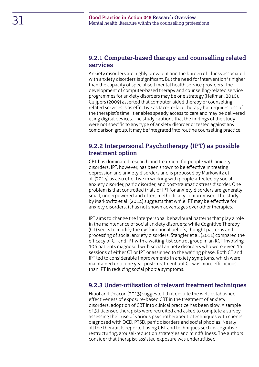#### <span id="page-30-0"></span>**9.2.1 Computer-based therapy and counselling related services**

Anxiety disorders are highly prevalent and the burden of illness associated with anxiety disorders is significant. But the need for intervention is higher than the capacity of specialised mental health service providers. The development of computer-based therapy and counselling-related service programmes for anxiety disorders may be one strategy (Heilman, 2010). Cuijpers (2009) asserted that computer-aided therapy or counsellingrelated services is as effective as face-to-face therapy but requires less of the therapist's time. It enables speedy access to care and may be delivered using digital devices. The study cautions that the findings of the study were not specific to any type of anxiety disorder or tested against any comparison group. It may be integrated into routine counselling practice.

#### <span id="page-30-1"></span>**9.2.2 Interpersonal Psychotherapy (IPT) as possible treatment option**

CBT has dominated research and treatment for people with anxiety disorders. IPT, however, has been shown to be effective in treating depression and anxiety disorders and is proposed by Markowitz et al. (2014) as also effective in working with people affected by social anxiety disorder, panic disorder, and post-traumatic stress disorder. One problem is that controlled trials of IPT for anxiety disorders are generally small, underpowered and often, methodically compromised. The study by Markowitz et al. (2014) suggests that while IPT may be effective for anxiety disorders, it has not shown advantages over other therapies.

IPT aims to change the interpersonal behavioural patterns that play a role in the maintenance of social anxiety disorders; while Cognitive Therapy (CT) seeks to modify the dysfunctional beliefs, thought patterns and processing of social anxiety disorders. Stangier et al. (2011) compared the efficacy of CT and IPT with a waiting-list control group in an RCT involving 106 patients diagnosed with social anxiety disorders who were given 16 sessions of either CT or IPT or assigned to the waiting phase. Both CT and IPT led to considerable improvements in anxiety symptoms, which were maintained until one year post-treatment but CT was more efficacious than IPT in reducing social phobia symptoms.

#### <span id="page-30-2"></span>**9.2.3 Under-utilisation of relevant treatment techniques**

Hipol and Deacon (2013) suggested that despite the well-established effectiveness of exposure-based CBT in the treatment of anxiety disorders, adoption of CBT into clinical practice has been slow. A sample of 51 licensed therapists were recruited and asked to complete a survey assessing their use of various psychotherapeutic techniques with clients diagnosed with OCD, PTSD, panic disorders and social phobias. Nearly all the therapists reported using CBT and techniques such as cognitive restructuring, arousal-reduction strategies and mindfulness. The authors consider that therapist-assisted exposure was underutilised.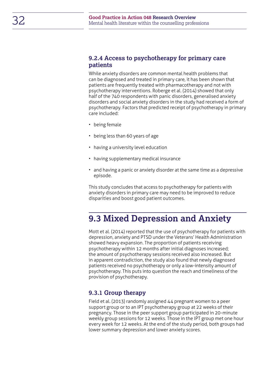#### <span id="page-31-0"></span>**9.2.4 Access to psychotherapy for primary care patients**

While anxiety disorders are common mental health problems that can be diagnosed and treated in primary care, it has been shown that patients are frequently treated with pharmacotherapy and not with psychotherapy interventions. Roberge et al. (2014) showed that only half of the 740 respondents with panic disorders, generalised anxiety disorders and social anxiety disorders in the study had received a form of psychotherapy. Factors that predicted receipt of psychotherapy in primary care included:

- being female
- being less than 60 years of age
- having a university level education
- having supplementary medical insurance
- and having a panic or anxiety disorder at the same time as a depressive episode.

This study concludes that access to psychotherapy for patients with anxiety disorders in primary care may need to be improved to reduce disparities and boost good patient outcomes.

### <span id="page-31-1"></span>**9.3 Mixed Depression and Anxiety**

Mott et al. (2014) reported that the use of psychotherapy for patients with depression, anxiety and PTSD under the Veterans' Health Administration showed heavy expansion. The proportion of patients receiving psychotherapy within 12 months after initial diagnoses increased; the amount of psychotherapy sessions received also increased. But in apparent contradiction, the study also found that newly diagnosed patients received no psychotherapy or only a low-intensity amount of psychotherapy. This puts into question the reach and timeliness of the provision of psychotherapy.

#### <span id="page-31-2"></span>**9.3.1 Group therapy**

Field et al. (2013) randomly assigned 44 pregnant women to a peer support group or to an IPT psychotherapy group at 22 weeks of their pregnancy. Those in the peer support group participated in 20-minute weekly group sessions for 12 weeks. Those in the IPT group met one hour every week for 12 weeks. At the end of the study period, both groups had lower summary depression and lower anxiety scores.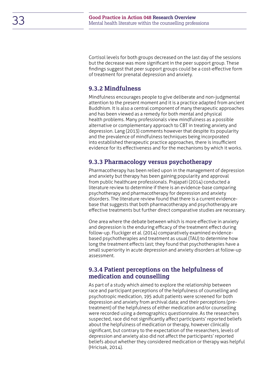Cortisol levels for both groups decreased on the last day of the sessions but the decrease was more significant in the peer support group. These findings suggest that peer support groups could be a cost-effective form of treatment for prenatal depression and anxiety.

#### <span id="page-32-0"></span>**9.3.2 Mindfulness**

Mindfulness encourages people to give deliberate and non-judgmental attention to the present moment and it is a practice adapted from ancient Buddhism. It is also a central component of many therapeutic approaches and has been viewed as a remedy for both mental and physical health problems. Many professionals view mindfulness as a possible alternative or complementary approach to CBT in treating anxiety and depression. Lang (2013) comments however that despite its popularity and the prevalence of mindfulness techniques being incorporated into established therapeutic practice approaches, there is insufficient evidence for its effectiveness and for the mechanisms by which it works.

#### <span id="page-32-1"></span>**9.3.3 Pharmacology versus psychotherapy**

Pharmacotherapy has been relied upon in the management of depression and anxiety but therapy has been gaining popularity and approval from public healthcare professionals. Prajapati (2014) conducted a literature review to determine if there is an evidence-base comparing psychotherapy and pharmacotherapy for depression and anxiety disorders. The literature review found that there is a current evidencebase that suggests that both pharmacotherapy and psychotherapy are effective treatments but further direct comparative studies are necessary.

One area where the debate between which is more effective in anxiety and depression is the enduring efficacy of the treatment effect during follow-up. Fluckiger et al. (2014) comparatively examined evidencebased psychotherapies and treatment as usual (TAU) to determine how long the treatment effects last; they found that psychotherapies have a small superiority in acute depression and anxiety disorders at follow-up assessment.

#### <span id="page-32-2"></span>**9.3.4 Patient perceptions on the helpfulness of medication and counselling**

As part of a study which aimed to explore the relationship between race and participant perceptions of the helpfulness of counselling and psychotropic medication, 195 adult patients were screened for both depression and anxiety from archival data; and their perceptions (pretreatment) of the helpfulness of either medication and/or counselling were recorded using a demographics questionnaire. As the researchers suspected, race did not significantly affect participants' reported beliefs about the helpfulness of medication or therapy, however clinically significant, but contrary to the expectation of the researchers, levels of depression and anxiety also did not affect the participants' reported beliefs about whether they considered medication or therapy was helpful (Hricisak, 2014).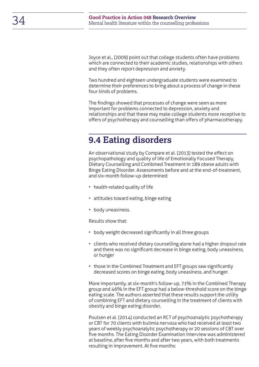Joyce et al., (2009) point out that college students often have problems which are connected to their academic studies, relationships with others and they often report depression and anxiety.

Two hundred and eighteen undergraduate students were examined to determine their preferences to bring about a process of change in these four kinds of problems.

The findings showed that processes of change were seen as more important for problems connected to depression, anxiety and relationships and that these may make college students more receptive to offers of psychotherapy and counselling than offers of pharmacotherapy.

### <span id="page-33-0"></span>**9.4 Eating disorders**

An observational study by Compare et al. (2013) tested the effect on psychopathology and quality of life of Emotionally Focused Therapy, Dietary Counselling and Combined Treatment in 189 obese adults with Binge Eating Disorder. Assessments before and at the end-of-treatment, and six-month follow-up determined:

- health-related quality of life
- attitudes toward eating, binge eating
- body uneasiness.

Results show that:

- body weight decreased significantly in all three groups
- clients who received dietary counselling alone had a higher dropout rate and there was no significant decrease in binge eating, body uneasiness, or hunger
- those in the Combined Treatment and EFT groups saw significantly decreased scores on binge eating, body uneasiness, and hunger.

More importantly, at six-month's follow-up, 71% in the Combined Therapy group and 46% in the EFT group had a below-threshold score on the binge eating scale. The authors asserted that these results support the utility of combining EFT and dietary counselling in the treatment of clients with obesity and binge eating disorder.

Poulsen et al. (2014) conducted an RCT of psychoanalytic psychotherapy or CBT for 70 clients with bulimia nervosa who had received at least two years of weekly psychoanalytic psychotherapy or 20 sessions of CBT over five months. The Eating Disorder Examination Interview was administered at baseline, after five months and after two years, with both treatments resulting in improvement. At five months: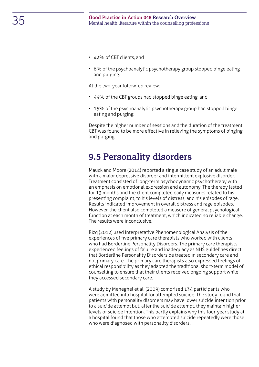- 42% of CBT clients, and
- 6% of the psychoanalytic psychotherapy group stopped binge eating and purging.

At the two-year follow-up review:

- 44% of the CBT groups had stopped binge eating, and
- 15% of the psychoanalytic psychotherapy group had stopped binge eating and purging.

Despite the higher number of sessions and the duration of the treatment, CBT was found to be more effective in relieving the symptoms of binging and purging.

### <span id="page-34-0"></span>**9.5 Personality disorders**

Mauck and Moore (2014) reported a single case study of an adult male with a major depressive disorder and intermittent explosive disorder. Treatment consisted of long-term psychodynamic psychotherapy with an emphasis on emotional expression and autonomy. The therapy lasted for 13 months and the client completed daily measures related to his presenting complaint, to his levels of distress, and his episodes of rage. Results indicated improvement in overall distress and rage episodes. However, the client also completed a measure of general psychological function at each month of treatment, which indicated no reliable change. The results were inconclusive.

Rizq (2012) used Interpretative Phenomenological Analysis of the experiences of five primary care therapists who worked with clients who had Borderline Personality Disorders. The primary care therapists experienced feelings of failure and inadequacy as NHS guidelines direct that Borderline Personality Disorders be treated in secondary care and not primary care. The primary care therapists also expressed feelings of ethical responsibility as they adapted the traditional short-term model of counselling to ensure that their clients received ongoing support while they accessed secondary care.

A study by Meneghel et al. (2009) comprised 134 participants who were admitted into hospital for attempted suicide. The study found that patients with personality disorders may have lower suicide intention prior to a suicide attempt but, after the suicide attempt, they maintain higher levels of suicide intention. This partly explains why this four-year study at a hospital found that those who attempted suicide repeatedly were those who were diagnosed with personality disorders.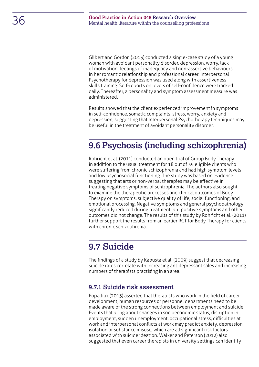Gilbert and Gordon (2013) conducted a single-case study of a young woman with avoidant personality disorder, depression, worry, lack of motivation, feelings of inadequacy and non-assertive behaviours in her romantic relationship and professional career. Interpersonal Psychotherapy for depression was used along with assertiveness skills training. Self-reports on levels of self-confidence were tracked daily. Thereafter, a personality and symptom assessment measure was administered.

Results showed that the client experienced improvement in symptoms in self-confidence, somatic complaints, stress, worry, anxiety and depression, suggesting that Interpersonal Psychotherapy techniques may be useful in the treatment of avoidant personality disorder.

### <span id="page-35-0"></span>**9.6 Psychosis (including schizophrenia)**

Rohricht et al. (2011) conducted an open trial of Group Body Therapy in addition to the usual treatment for 18 out of 39 eligible clients who were suffering from chronic schizophrenia and had high symptom levels and low psychosocial functioning. The study was based on evidence suggesting that arts or non-verbal therapies may be effective in treating negative symptoms of schizophrenia. The authors also sought to examine the therapeutic processes and clinical outcomes of Body Therapy on symptoms, subjective quality of life, social functioning, and emotional processing. Negative symptoms and general psychopathology significantly reduced during treatment, but positive symptoms and other outcomes did not change. The results of this study by Rohricht et al. (2011) further support the results from an earlier RCT for Body Therapy for clients with chronic schizophrenia.

### <span id="page-35-1"></span>**9.7 Suicide**

The findings of a study by Kapusta et al. (2009) suggest that decreasing suicide rates correlate with increasing antidepressant sales and increasing numbers of therapists practising in an area.

#### <span id="page-35-2"></span>**9.7.1 Suicide risk assessment**

Popadiuk (2013) asserted that therapists who work in the field of career development, human resources or personnel departments need to be made aware of the strong connections between employment and suicide. Events that bring about changes in socioeconomic status, disruption in employment, sudden unemployment, occupational stress, difficulties at work and interpersonal conflicts at work may predict anxiety, depression, isolation or substance misuse, which are all significant risk factors associated with suicide ideation. Walker and Peterson (2012) also suggested that even career therapists in university settings can identify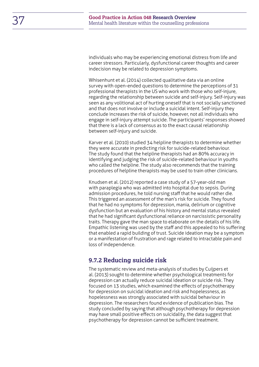individuals who may be experiencing emotional distress from life and career stressors. Particularly, dysfunctional career thoughts and career indecision may be related to depression symptoms.

Whisenhunt et al. (2014) collected qualitative data via an online survey with open-ended questions to determine the perceptions of 31 professional therapists in the US who work with those who self-injure, regarding the relationship between suicide and self-injury. Self-injury was seen as any volitional act of hurting oneself that is not socially sanctioned and that does not involve or include a suicidal intent. Self-injury they conclude increases the risk of suicide, however, not all individuals who engage in self-injury attempt suicide. The participants' responses showed that there is a lack of consensus as to the exact causal relationship between self-injury and suicide.

Karver et al. (2010) studied 34 helpline therapists to determine whether they were accurate in predicting risk for suicide-related behaviour. The study found that the helpline therapists had an 80% accuracy in identifying and judging the risk of suicide-related behaviour in youths who called the helpline. The study also recommends that the training procedures of helpline therapists may be used to train other clinicians.

Knudsen et al. (2012) reported a case study of a 57-year-old man with paraplegia who was admitted into hospital due to sepsis. During admission procedures, he told nursing staff that he would rather die. This triggered an assessment of the man's risk for suicide. They found that he had no symptoms for depression, mania, delirium or cognitive dysfunction but an evaluation of his history and mental status revealed that he had significant dysfunctional reliance on narcissistic personality traits. Therapy gave the man space to elaborate on the details of his life. Empathic listening was used by the staff and this appealed to his suffering that enabled a rapid building of trust. Suicide ideation may be a symptom or a manifestation of frustration and rage related to intractable pain and loss of independence.

#### <span id="page-36-0"></span>**9.7.2 Reducing suicide risk**

The systematic review and meta-analysis of studies by Cuijpers et al. (2013) sought to determine whether psychological treatments for depression can actually reduce suicidal ideation or suicide risk. They focused on 13 studies, which examined the effects of psychotherapy for depression on suicidal ideation and risk and hopelessness, as hopelessness was strongly associated with suicidal behaviour in depression. The researchers found evidence of publication bias. The study concluded by saying that although psychotherapy for depression may have small positive effects on suicidality, the data suggest that psychotherapy for depression cannot be sufficient treatment.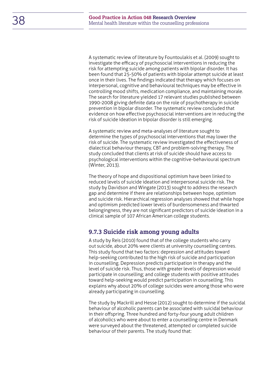A systematic review of literature by Fountoulakis et al. (2009) sought to investigate the efficacy of psychosocial interventions in reducing the risk for attempting suicide among patients with bipolar disorder. It has been found that 25-50% of patients with bipolar attempt suicide at least once in their lives. The findings indicated that therapy which focuses on interpersonal, cognitive and behavioural techniques may be effective in controlling mood shifts, medication compliance, and maintaining morale. The search for literature yielded 17 relevant studies published between 1990-2008 giving definite data on the role of psychotherapy in suicide prevention in bipolar disorder. The systematic review concluded that evidence on how effective psychosocial interventions are in reducing the risk of suicide ideation in bipolar disorder is still emerging.

A systematic review and meta-analyses of literature sought to determine the types of psychosocial interventions that may lower the risk of suicide. The systematic review investigated the effectiveness of dialectical behaviour therapy, CBT and problem-solving therapy. The study concluded that clients at risk of suicide should have access to psychological interventions within the cognitive-behavioural spectrum (Winter, 2013).

The theory of hope and dispositional optimism have been linked to reduced levels of suicide ideation and interpersonal suicide risk. The study by Davidson and Wingate (2013) sought to address the research gap and determine if there are relationships between hope, optimism and suicide risk. Hierarchical regression analyses showed that while hope and optimism predicted lower levels of burdensomeness and thwarted belongingness, they are not significant predictors of suicide ideation in a clinical sample of 107 African American college students.

#### <span id="page-37-0"></span>**9.7.3 Suicide risk among young adults**

A study by Reis (2010) found that of the college students who carry out suicide, about 20% were clients at university counselling centres. This study found that two factors: depression and attitudes toward help-seeking contributed to the high risk of suicide and participation in counselling. Depression predicts participation in therapy and the level of suicide risk. Thus, those with greater levels of depression would participate in counselling; and college students with positive attitudes toward help-seeking would predict participation in counselling. This explains why about 20% of college suicides were among those who were already participating in counselling.

The study by Mackrill and Hesse (2012) sought to determine if the suicidal behaviour of alcoholic parents can be associated with suicidal behaviour in their offspring. Three hundred and forty-four young adult children of alcoholics who were about to enter a counselling centre in Denmark were surveyed about the threatened, attempted or completed suicide behaviour of their parents. The study found that: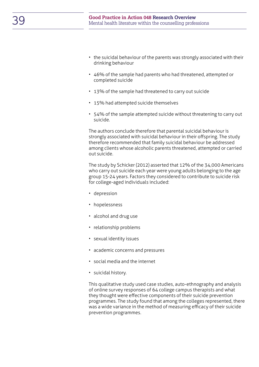- the suicidal behaviour of the parents was strongly associated with their drinking behaviour
- 46% of the sample had parents who had threatened, attempted or completed suicide
- 13% of the sample had threatened to carry out suicide
- 15% had attempted suicide themselves
- 54% of the sample attempted suicide without threatening to carry out suicide.

The authors conclude therefore that parental suicidal behaviour is strongly associated with suicidal behaviour in their offspring. The study therefore recommended that family suicidal behaviour be addressed among clients whose alcoholic parents threatened, attempted or carried out suicide.

The study by Schicker (2012) asserted that 12% of the 34,000 Americans who carry out suicide each year were young adults belonging to the age group 15-24 years. Factors they considered to contribute to suicide risk for college-aged individuals included:

- depression
- hopelessness
- alcohol and drug use
- relationship problems
- sexual identity issues
- academic concerns and pressures
- social media and the internet
- suicidal history.

This qualitative study used case studies, auto-ethnography and analysis of online survey responses of 64 college campus therapists and what they thought were effective components of their suicide prevention programmes. The study found that among the colleges represented, there was a wide variance in the method of measuring efficacy of their suicide prevention programmes.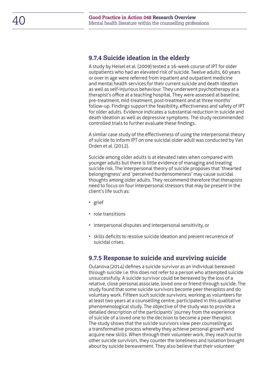#### <span id="page-39-0"></span>**9.7.4 Suicide ideation in the elderly**

A study by Heisel et al. (2009) tested a 16-week course of IPT for older outpatients who had an elevated risk of suicide. Twelve adults, 60 years or over in age were referred from inpatient and outpatient medicine and mental health services for their current suicide and death ideation as well as self-injurious behaviour. They underwent psychotherapy at a therapist's office at a teaching hospital. They were assessed at baseline, pre-treatment, mid-treatment, post-treatment and at three months' follow-up. Findings support the feasibility, effectiveness and safety of IPT for older adults. Evidence indicates a substantial reduction in suicide and death ideation as well as depressive symptoms. The study recommended controlled trials to further evaluate these findings.

A similar case study of the effectiveness of using the interpersonal theory of suicide to inform IPT on one suicidal older adult was conducted by Van Orden et al. (2012).

Suicide among older adults is at elevated rates when compared with younger adults but there is little evidence of managing and treating suicide risk. The interpersonal theory of suicide proposes that 'thwarted belongingness' and 'perceived burdensomeness' may cause suicidal thoughts among older adults. They recommend therefore that therapists need to focus on four interpersonal stressors that may be present in the client's life such as:

- grief
- role transitions
- interpersonal disputes and interpersonal sensitivity, or
- skills deficits to resolve suicide ideation and prevent recurrence of suicidal crises.

#### <span id="page-39-1"></span>**9.7.5 Response to suicide and surviving suicide**

Oulanova (2014) defines a suicide survivor as an individual bereaved through suicide i.e. this does not refer to a person who attempted suicide unsuccessfully. A suicide survivor could be bereaved by the loss of a relative, close personal associate, loved one or friend through suicide. The study found that some suicide survivors become peer therapists and do voluntary work. Fifteen such suicide survivors, working as volunteers for at least two years at a counselling centre, participated in this qualitative phenomenological study. The objective of the study was to provide a detailed description of the participants' journey from the experience of suicide of a loved one to the decision to become a peer therapist. The study shows that the suicide survivors view peer counselling as a transformative process whereby they achieve personal growth and acquire new skills. When through their volunteer work, they reach out to other suicide survivors, they counter the loneliness and isolation brought about by suicide bereavement. They also believe that their volunteer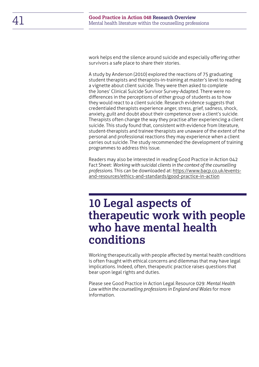work helps end the silence around suicide and especially offering other survivors a safe place to share their stories.

A study by Anderson (2010) explored the reactions of 75 graduating student therapists and therapists-in-training at master's level to reading a vignette about client suicide. They were then asked to complete the Jones' Clinical Suicide Survivor Survey-Adapted. There were no differences in the perceptions of either group of students as to how they would react to a client suicide. Research evidence suggests that credentialed therapists experience anger, stress, grief, sadness, shock, anxiety, guilt and doubt about their competence over a client's suicide. Therapists often change the way they practise after experiencing a client suicide. This study found that, consistent with evidence from literature, student-therapists and trainee therapists are unaware of the extent of the personal and professional reactions they may experience when a client carries out suicide. The study recommended the development of training programmes to address this issue.

Readers may also be interested in reading Good Practice in Action 042 Fact Sheet: *Working with suicidal clients in the context of the counselling professions*. This can be downloaded at: [https://www.bacp.co.uk/events](https://www.bacp.co.uk/events-and-resources/ethics-and-standards/good-practice-in-action)[and-resources/ethics-and-standards/good-practice-in-action](https://www.bacp.co.uk/events-and-resources/ethics-and-standards/good-practice-in-action)

## <span id="page-40-0"></span>**10 Legal aspects of therapeutic work with people who have mental health conditions**

Working therapeutically with people affected by mental health conditions is often fraught with ethical concerns and dilemmas that may have legal implications. Indeed, often, therapeutic practice raises questions that bear upon legal rights and duties.

Please see Good Practice in Action Legal Resource 029: *Mental Health Law within the counselling professions in England and Wales* for more information.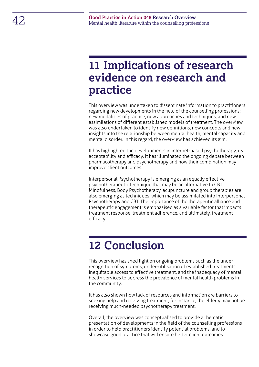## <span id="page-41-0"></span>**11 Implications of research evidence on research and practice**

This overview was undertaken to disseminate information to practitioners regarding new developments in the field of the counselling professions: new modalities of practice, new approaches and techniques, and new assimilations of different established models of treatment. The overview was also undertaken to identify new definitions, new concepts and new insights into the relationship between mental health, mental capacity and mental disorder. In this regard, the overview has achieved its aim.

It has highlighted the developments in internet-based psychotherapy, its acceptability and efficacy. It has illuminated the ongoing debate between pharmacotherapy and psychotherapy and how their combination may improve client outcomes.

Interpersonal Psychotherapy is emerging as an equally effective psychotherapeutic technique that may be an alternative to CBT. Mindfulness, Body Psychotherapy, acupuncture and group therapies are also emerging as techniques, which may be assimilated into Interpersonal Psychotherapy and CBT. The importance of the therapeutic alliance and therapeutic engagement is emphasised as a variable factor that impacts treatment response, treatment adherence, and ultimately, treatment efficacy.

## <span id="page-41-1"></span>**12 Conclusion**

This overview has shed light on ongoing problems such as the underrecognition of symptoms, under-utilisation of established treatments, inequitable access to effective treatment, and the inadequacy of mental health services to address the prevalence of mental health problems in the community.

It has also shown how lack of resources and information are barriers to seeking help and receiving treatment; for instance, the elderly may not be receiving much-needed psychotherapy treatment.

Overall, the overview was conceptualised to provide a thematic presentation of developments in the field of the counselling professions in order to help practitioners identify potential problems, and to showcase good practice that will ensure better client outcomes.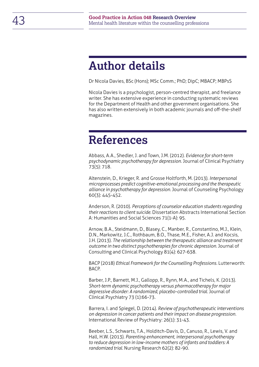## <span id="page-42-0"></span>**Author details**

Dr Nicola Davies, BSc (Hons); MSc Comm.; PhD; DipC; MBACP; MBPsS

Nicola Davies is a psychologist, person-centred therapist, and freelance writer. She has extensive experience in conducting systematic reviews for the Department of Health and other government organisations. She has also written extensively in both academic journals and off-the-shelf magazines.

## <span id="page-42-1"></span>**References**

Abbass, A.A., Shedler, J. and Town, J.M. (2012). *Evidence for short-term psychodynamic psychotherapy for depression*. Journal of Clinical Psychiatry 73(5): 718.

Altenstein, D., Krieger, R. and Grosse Holtforth, M. (2013). *Interpersonal microprocesses predict cognitive-emotional processing and the therapeutic alliance in psychotherapy for depression.* Journal of Counseling Psychology 60(3): 445-452.

Anderson, R. (2010). *Perceptions of counselor education students regarding their reactions to client suicide.* Dissertation Abstracts International Section A: Humanities and Social Sciences 71(1-A): 95.

Arnow, B.A., Steidmann, D., Blasey, C., Manber, R., Constantino, M.J., Klein, D.N., Markowitz, J.C., Rothbaum, B.O., Thase, M.E., Fisher, A.J. and Kocsis, J.H. (2013). *The relationship between the therapeutic alliance and treatment outcome in two distinct psychotherapies for chronic depression.* Journal of Consulting and Clinical Psychology 81(4): 627-638.

BACP (2018) *Ethical Framework for the Counselling Professions.* Lutterworth: BACP.

Barber, J.P., Barnett, M.J., Gallopp, R., Rynn, M.A., and Tichels, K. (2013). *Short-term dynamic psychotherapy versus pharmacotherapy for major depressive disorder: A randomized, placebo-controlled trial.* Journal of Clinical Psychiatry 73 (1):66-73.

Barrera, I. and Spiegel, D. (2014). *Review of psychotherapeutic interventions on depression in cancer patients and their impact on disease progression.* International Review of Psychiatry: 26(1): 31-43.

Beeber, L.S., Schwarts, T.A., Holditch-Davis, D., Canuso, R., Lewis, V. and Hall, H.W. (2013). *Parenting enhancement, interpersonal psychotherapy to reduce depression in low-income mothers of infants and toddlers: A randomized trial.* Nursing Research 62(2): 82-90.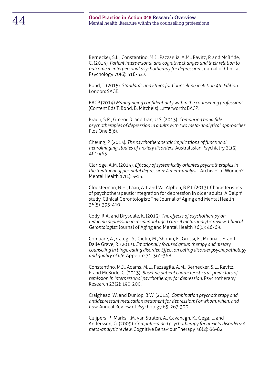Bernecker, S.L., Constantino, M.J., Pazzaglia, A.M., Ravitz, P. and McBride, C. (2014). *Patient interpersonal and cognitive changes and their relation to outcome in interpersonal psychotherapy for depression.* Journal of Clinical Psychology 70(6): 518-527.

Bond, T. (2015). *Standards and Ethics for Counselling in Action 4th Edition*. London: SAGE.

BACP (2014) *Managinging confidentiality within the counselling professions*. (Content Eds T. Bond, B. Mitchels) Lutterworth: BACP.

Braun, S.R., Gregor, R. and Tran, U.S. (2013). *Comparing bona fide psychotherapies of depression in adults with two meta-analytical approaches.*  Plos One 8(6).

Cheung, P. (2013). *The psychotherapeutic implications of functional neuroimaging studies of anxiety disorders.* Australasian Psychiatry 21(5): 461-465.

Claridge, A.M. (2014). *Efficacy of systemically oriented psychotherapies in the treatment of perinatal depression: A meta-analysis.* Archives of Women's Mental Health 17(1): 3-15.

Cloosterman, N.H., Laan, A.J. and Val Alphen, B.P.J. (2013). Characteristics of psychotherapeutic integration for depression in older adults: A Delphi study. Clinical Gerontologist: The Journal of Aging and Mental Health 36(5): 395-410.

Cody, R.A. and Drysdale, K. (2013). *The effects of psychotherapy on reducing depression in residential aged care: A meta-analytic review. Clinical Gerontologist:* Journal of Aging and Mental Health 36(1): 46-69.

Compare, A., Calugi, S., Giulio, M., Shonin, E., Grossi, E., Molinari, E. and Dalle Grave, R. (2013). *Emotionally focused group therapy and dietary counseling in binge eating disorder. Effect on eating disorder psychopathology and quality of life.* Appetite 71: 361-368.

Constantino, M.J., Adams, M.L., Pazzagila, A.M., Bernecker, S.L., Ravitz, P. and McBride, C. (2013). *Baseline patient characteristics as predictors of remission in interpersonal psychotherapy for depression.* Psychotherapy Research 23(2): 190-200.

Craighead, W. and Dunlop, B.W. (2014). *Combination psychotherapy and antidepressant medication treatment for depression: For whom, when, and how.* Annual Review of Psychology 65: 267-300.

Cuijpers, P., Marks, I.M, van Straten, A., Cavanagh, K., Gega, L. and Andersson, G. (2009). *Computer-aided psychotherapy for anxiety disorders: A meta-analytic review.* Cognitive Behaviour Therapy 38(2): 66-82.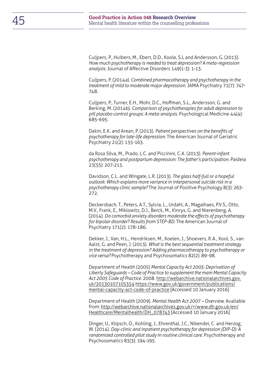Cuijpers, P., Huibers, M., Ebert, D.D., Koole, S.L and Andersson, G. (2013). *How much psychotherapy is needed to treat depression? A meta-regression analysis.* Journal of Affective Disorders 149(1-3): 1-13.

Cuijpers, P. (2014a). *Combined pharmacotherapy and psychotherapy in the treatment of mild to moderate major depression.* JAMA Psychiatry 71(7): 747- 748.

Cuijpers, P., Turner, E.H., Mohr, D.C., Hoffman, S.L., Andersson, G. and Berking, M. (2014b). *Comparison of psychotherapies for adult depression to pill placebo control groups: A meta-analysis.* Psychological Medicine 44(4): 685-695.

Dakin, E.K. and Arean, P. (2013). *Patient perspectives on the benefits of psychotherapy for late-life depression.* The American Journal of Geriatric Psychiatry 21(2): 155-163.

da Rosa Silva, M., Prado, L.C. and Piccinini, C.A. (2013). *Parent-infant psychotherapy and postpartum depression: The father's participation.* Paideia 23(55): 207-215.

Davidson, C.L. and Wingate, L.R. (2013). *The glass half-full or a hopeful outlook: Which explains more variance in interpersonal suicide risk in a psychotherapy clinic sample?* The Journal of Positive Psychology 8(3): 263- 272.

Deckersbach, T., Peters, A.T., Sylvia, L., Urdahl, A., Magalhaes, P.V.S., Otto, M.V., Frank, E., Miklowitz, D.J., Berck, M., Kinrys, G. and Nierenberg, A. (2014). *Do comorbid anxiety disorders moderate the effects of psychotherapy for bipolar disorder? Results from STEP-BD.* The American Journal of Psychiatry 171(2): 178-186.

Dekker, J., Van, H.L., Hendriksen, M., Koelen, J., Shoevers, R.A., Kool, S., van Aalst, G. and Peen, J. (2013). *What is the best sequential treatment strategy in the treatment of depression? Adding pharmacotherapy to psychotherapy or vice versa?* Psychotherapy and Psychosomatics 82(2): 89-98.

Department of Health (2005) *Mental Capacity Act 2005: Deprivation of Liberty Safeguards – Code of Practice to supplement the main Mental Capacity Act 2005 Code of Practice.* 2008. http://webarchive.nationalarchives.gov. uk/20130107105354 [https://www.gov.uk/government/publications/](https://www.gov.uk/government/publications/mental-capacity-act-code-of-practice) [mental-capacity-act-code-of-practice](https://www.gov.uk/government/publications/mental-capacity-act-code-of-practice) [Accessed 10 January 2016]

Department of Health (2009). *Mental Health Act 2007 – Overview*. Available from: [http://webarchive.nationalarchives.gov.uk/+/www.dh.gov.uk/en/](http://webarchive.nationalarchives.gov.uk/+/www.dh.gov.uk/en/Healthcare/Mentalhealth/DH_078743) [Healthcare/Mentalhealth/DH\\_078743](http://webarchive.nationalarchives.gov.uk/+/www.dh.gov.uk/en/Healthcare/Mentalhealth/DH_078743) [Accessed 10 January 2016]

Dinger, U., Klipsch, O., Kohling, J., Ehrenthal, J.C., Nikendei, C. and Herzog, W. (2014). *Day-clinic and inpatient psychotherapy for depression (DIP-D): A*  randomized controlled pilot study in routine clinical care. Psychotherapy and Psychosomatics 83(3): 194-195.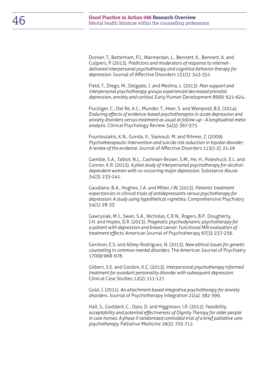Donker, T., Batterham, P.J., Warmerdan, L., Bennett, K., Bennett, A. and Cuijpers, P. (2013). *Predictors and moderators of response to internetdelivered interpersonal psychotherapy and cognitive behavior therapy for depression.* Journal of Affective Disorders 151(1): 343-351.

Field, T., Diego, M., Delgado, J. and Medina, L. (2013). *Peer support and interpersonal psychotherapy groups experienced decreased prenatal depression, anxiety and cortisol.* Early Human Development 89(9): 621-624.

Fluckiger, C., Del Re, A.C., Munder, T., Heer, S. and Wampold, B.E. (2014). *Enduring effects of evidence-based psychotherapies in acute depression and anxiety disorders versus treatment as usual at follow-up - A longitudinal metaanalysis.* Clinical Psychology Review 34(5): 367-375.

Fountoulakis, K.N., Gonda, X., Siamouli, M. and Rihmer, Z. (2009). *Psychotherapeutic intervention and suicide risk reduction in bipolar disorder: A review of the evidence.* Journal of Affective Disorders 113(1-2): 21-29

Gamble, S.A., Talbot, N.L., Cashman-Brown, S.M., He, H., Poleshuck, E.L. and Conner, K.R. (2013). *A pilot study of interpersonal psychotherapy for alcoholdependent women with co-occurring major depression.* Substance Abuse 34(3): 233-241.

Gaudiano, B.A., Hughes, J.A. and Miller, I.W. (2013). *Patients' treatment expectancies in clinical trials of antidepressants versus psychotherapy for depression: A study using hypothetical vignettes.* Comprehensive Psychiatry 54(1): 28-33.

Gawrysiak, M.J., Swan, S.A., Nicholas, C.R.N., Rogers, B.P., Dougherty, J.H. and Hopko, D.R. (2013). *Pragmatic psychodynamic psychotherapy for a patient with depression and breast cancer: Functional MRI evaluation of treatment effects.* American Journal of Psychotherapy 67(3): 237-256.

Gershon, E.S. and Alliey-Rodriguez, N. (2013). *New ethical issues for genetic counseling in common mental disorders.* The American Journal of Psychiatry 170(9):968-976.

Gilbert, S.E. and Gordon, K.C. (2013). *Interpersonal psychotherapy informed treatment for avoidant personality disorder with subsequent depression.*  Clinical Case Studies 12(2): 111-127.

Gold, J. (2011). *An attachment based integrative psychotherapy for anxiety disorders.* Journal of Psychotherapy Integration 21(4): 382-399.

Hall, S., Goddard, C., Opio, D. and Higginson, I.R. (2012). *Feasibility, acceptability and potential effectiveness of Dignity Therapy for older people in care homes: A phase II randomized controlled trial of a brief palliative care psychotherapy.* Palliative Medicine 26(5): 703-712.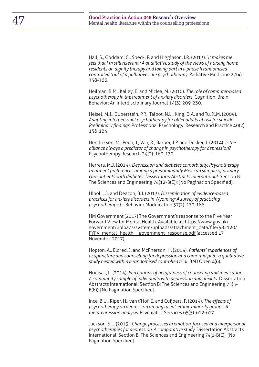Hall, S., Goddard, C., Speck, P. and Higginson, I.R. (2013). *'It makes me feel that I'm still relevant': A qualitative study of the views of nursing home residents on dignity therapy and taking part in a phase II randomised controlled trial of a palliative care psychotherapy.* Palliative Medicine 27(4): 358-366.

Heilman, R.M., Kallay, E. and Miclea, M. (2010). *The role of computer-based psychotherapy in the treatment of anxiety disorders.* Cognition, Brain, Behavior: An Interdisciplinary Journal 14(3): 209-230.

Heisel, M.J., Duberstein, P.R., Talbot, N.L., King, D.A. and Tu, X.M. (2009). *Adapting interpersonal psychotherapy for older adults at risk for suicide: Preliminary findings.* Professional Psychology: Research and Practice 40(2): 156-164.

Hendriksen, M., Peen, J., Van, R., Barber, J.P. and Dekker, J. (2014). *Is the alliance always a predictor of change in psychotherapy for depression?* Psychotherapy Research 24(2): 160-170.

Herrera, M.J. (2014). *Depression and diabetes comorbidity: Psychotherapy treatment preferences among a predominantly Mexican sample of primary care patients with diabetes. Dissertation Abstracts International:* Section B: The Sciences and Engineering 74(12-B(E)): [No Pagination Specified].

Hipol, L.J. and Deacon, B.J. (2013). *Dissemination of evidence-based practices for anxiety disorders in Wyoming: A survey of practicing psychotherapists.* Behavior Modification 37(2): 170-188.

HM Government (2017) The Government's response to the Five Year Forward View for Mental Health. Available at: [https://www.gov.uk/](https://www.gov.uk/government/uploads/system/uploads/attachment_data/file/582120/FYFV_mental_health__government_response.pdf) [government/uploads/system/uploads/attachment\\_data/file/582120/](https://www.gov.uk/government/uploads/system/uploads/attachment_data/file/582120/FYFV_mental_health__government_response.pdf) [FYFV\\_mental\\_health\\_\\_government\\_response.pdf](https://www.gov.uk/government/uploads/system/uploads/attachment_data/file/582120/FYFV_mental_health__government_response.pdf) (accessed 17 November 2017).

Hopton, A., Eldred, J. and McPherson, H. (2014). *Patients' experiences of acupuncture and counselling for depression and comorbid pain: a qualitative study nested within a randomised controlled trial.* BMJ Open 4(6).

Hricisak, L. (2014). *Perceptions of helpfulness of counseling and medication: A community sample of individuals with depression and anxiety.* Dissertation Abstracts International: Section B: The Sciences and Engineering 75(5- B(E)): [No Pagination Specified].

Ince, B.U., Riper, H., van t'Hof, E. and Cuijpers, P. (2014). *The effects of psychotherapy on depression among racial-ethnic minority groups: A metaregression analysis.* Psychiatric Services 65(5): 612-617.

Jackson, S.L. (2013). *Change processes in emotion-focused and interpersonal psychotherapies for depression: A comparative study.* Dissertation Abstracts International: Section B: The Sciences and Engineering 74(1-B(E)): [No Pagination Specified].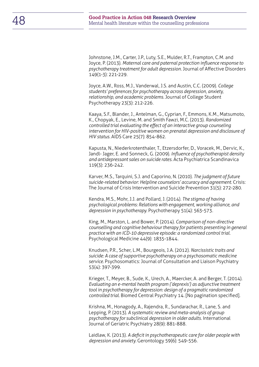Johnstone, J.M., Carter, J.P., Luty, S.E., Mulder, R.T., Frampton, C.M. and Joyce, P. (2013). *Maternal care and paternal protection influence response to psychotherapy treatment for adult depression.* Journal of Affective Disorders 149(1-3): 221-229.

Joyce, A.W., Ross, M.J., Vanderwal, J.S. and Austin, C.C. (2009). *College students' preferences for psychotherapy across depression, anxiety, relationship, and academic problems.* Journal of College Student Psychotherapy 23(3): 212-226.

Kaaya, S.F., Blander, J., Antelman, G., Cyprian, F., Emmons, K.M., Matsumoto, K., Chopyak, E., Levine, M. and Smith Fawzi, M.C. (2013). *Randomized controlled trial evaluating the effect of an interactive group counseling intervention for HIV-positive women on prenatal depression and disclosure of HIV status.* AIDS Care 25(7): 854-862.

Kapusta, N., Niederkrotenthaler, T., Etzersdorfer, D., Voracek, M., Dervic, K., Jandl- Jager, E. and Sonneck, G. (2009). *Influence of psychotherapist density and antidepressant sales on suicide rates.* Acta Psychiatrica Scandinavica 119(3): 236-242.

Karver, M.S., Tarquini, S.J. and Caporino, N. (2010). *The judgment of future suicide-related behavior: Helpline counselors' accuracy and agreement.* Crisis: The Journal of Crisis Intervention and Suicide Prevention 31(5): 272-280.

Kendra, M.S., Mohr, J.J. and Pollard, J. (2014). *The stigma of having psychological problems: Relations with engagement, working alliance, and depression in psychotherapy.* Psychotherapy 51(4): 563-573.

King, M., Marston, L. and Bower, P. (2014). *Comparison of non-directive counselling and cognitive behaviour therapy for patients presenting in general practice with an ICD-10 depressive episode: a randomized control trial.*  Psychological Medicine 44(9): 1835-1844.

Knudsen, P.R., Scher, L.M., Bourgeois, J.A. (2012). *Narcissistic traits and suicide: A case of supportive psychotherapy on a psychosomatic medicine service.* Psychosomatics: Journal of Consultation and Liaison Psychiatry 53(4): 397-399.

Krieger, T., Meyer, B., Sude, K., Urech, A., Maercker, A. and Berger, T. (2014). *Evaluating an e-mental health program ('deprexis') as adjunctive treatment tool in psychotherapy for depression: design of a pragmatic randomized controlled trial.* Biomed Central Psychiatry 14. [No pagination specified].

Krishna, M., Honagody, A., Rajendra, R., Sundarachar, R., Lane, S. and Lepping, P. (2013). *A systematic review and meta-analysis of group psychotherapy for subclinical depression in older adults.* International Journal of Geriatric Psychiatry 28(9): 881-888.

Laidlaw, K. (2013). *A deficit in psychotherapeutic care for older people with depression and anxiety.* Gerontology 59(6): 549-556.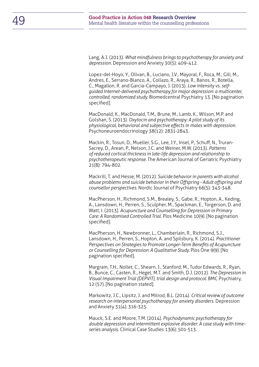Lang, A.J. (2013). *What mindfulness brings to psychotherapy for anxiety and depression.* Depression and Anxiety 30(5): 409-412.

Lopez-del-Hoyo, Y., Olivan, B., Luciano, J.V., Mayoral, F., Roca, M., Gili, M., Andres, E., Serrano-Blanco, A., Collazo, R., Araya, R., Banos, R., Botella, C., Magallon, R. and Garcia-Campayo, J. (2013). *Low intensity vs. selfguided Internet-delivered psychotherapy for major depression: a multicenter, controlled, randomized study.* Biomedcentral Psychiatry 13. [No pagination specified].

MacDonald, K., MacDonald, T.M., Brune, M., Lamb, K., Wilson, M.P. and Golshan, S. (2013). *Oxytocin and psychotherapy: A pilot study of its physiological, behavioral and subjective effects in males with depression.*  Psychoneuroendocrinology 38(12): 2831-2843.

Mackin, R., Tosun, D., Mueller, S.G., Lee, J.Y., Insel, P., Schuff, N., Truran-Sacrey, D., Arean, P., Nelson, J.C. and Weiner, M.W. (2013). *Patterns of reduced cortical thickness in late-life depression and relationship to psychotherapeutic response.* The American Journal of Geriatric Psychiatry 21(8): 794-802.

Mackrill, T. and Hesse, M. (2012). *Suicide behavior in parents with alcohol abuse problems and suicide behavior in their Offspring - Adult offspring and counsellor perspectives.* Nordic Journal of Psychiatry 66(5): 343-348.

MacPherson, H., Richmond, S.M., Brealey, S., Gabe, R., Hopton, A., Keding, A., Lansdown, H., Perren, S., Sculpher, M., Spackman, E., Torgerson, D. and Watt, I. (2013). *Acupuncture and Counselling for Depression in Primary Care: A Randomised Controlled Trial.* Plos Medicine 10(9). [No pagination specified].

MacPherson, H., Newbronner, L., Chamberlain, R., Richmond, S.J., Lansdown, H., Perren, S., Hopton, A. and Spilsbury, K. (2014). *Practitioner Perspectives on Strategies to Promote Longer-Term Benefits of Acupuncture or Counselling for Depression: A Qualitative Study.* Plos One 9(9). [No pagination specified].

Margrain, T.H., Nollet, C., Shearn, J., Stanford, M., Tudor Edwards, R., Ryan, B., Bunce, C., Casten, R., Hegel, M.T. and Smith, D.J. (2012). *The Depression in Visual Impairment Trial (DEPVIT), trial design and protocol.* BMC Psychiatry, 12 (57). [No pagination stated].

Markowitz, J.C., Lipsitz, J. and Milrod, B.L. (2014). *Critical review of outcome research on interpersonal psychotherapy for anxiety disorders.* Depression and Anxiety 31(4): 316-325.

Mauck, S.E. and Moore, T.M. (2014). *Psychodynamic psychotherapy for double depression and intermittent explosive disorder: A case study with timeseries analysis.* Clinical Case Studies 13(6): 501-513.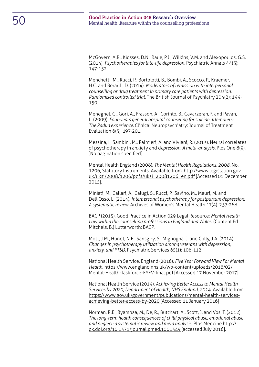McGovern, A.R., Kiosses, D.N., Raue, P.J., Wilkins, V.M. and Alexopoulos, G.S. (2014). *Psychotherapies for late-life depression.* Psychiatric Annals 44(3): 147-152.

Menchetti, M., Rucci, P., Bortolotti, B., Bombi, A., Scocco, P., Kraemer, H.C. and Berardi, D. (2014). *Moderators of remission with interpersonal counselling or drug treatment in primary care patients with depression: Randomised controlled trial.* The British Journal of Psychiatry 204(2): 144- 150.

Meneghel, G., Gori, A., Frasson, A., Corinto, B., Cavarzeran, F. and Pavan, L. (2009). *Four-years general hospital counseling for suicide attempters: The Padua experience.* Clinical Neuropsychiatry: Journal of Treatment Evaluation 6(5): 197-201.

Messina, I., Sambini, M., Palmieri, A. and Viviani, R. (2013). Neural correlates of psychotherapy in anxiety and d*epression: A meta-analysis.* Plos One 8(9). [No pagination specified].

Mental Health England (2008). *The Mental Health Regulations, 2008,* No. 1206, Statutory Instruments. Available from: [http://www.legislation.gov.](http://www.legislation.gov.uk/uksi/2008/1206/pdfs/uksi_20081206_en.pdf) [uk/uksi/2008/1206/pdfs/uksi\\_20081206\\_en.pdf](http://www.legislation.gov.uk/uksi/2008/1206/pdfs/uksi_20081206_en.pdf) [Accessed 01 December 2015].

Miniati, M., Callari, A., Calugi, S., Rucci, P., Savino, M., Mauri, M. and Dell'Osso, L. (2014). *Interpersonal psychotherapy for postpartum depression: A systematic review.* Archives of Women's Mental Health 17(4): 257-268.

BACP (2015). Good Practice in Action 029 Legal Resource: *Mental Health Law within the counselling professions in England and Wales.* (Content Ed Mitchels, B.) Lutterworth: BACP.

Mott, J.M., Hundt, N.E., Sansgiry, S., Mignogna, J. and Cully, J.A. (2014). *Changes in psychotherapy utilization among veterans with depression, anxiety, and PTSD.* Psychiatric Services 65(1): 106-112.

National Health Service, England (2016). *Five Year Forward View For Mental Health*. [https://www.england.nhs.uk/wp-content/uploads/2016/02/](https://www.england.nhs.uk/wp-content/uploads/2016/02/Mental-Health-Taskforce-FYFV-final.pdf) [Mental-Health-Taskforce-FYFV-final.pdf](https://www.england.nhs.uk/wp-content/uploads/2016/02/Mental-Health-Taskforce-FYFV-final.pdf) [Accessed 17 November 2017]

National Health Service (2014). *Achieving Better Access to Mental Health Services by 2020, Department of Health, NHS England, 2014*. Available from: [https://www.gov.uk/government/publications/mental-health-services](https://www.gov.uk/government/publications/mental-health-services-achieving-better-access-by-2020)[achieving-better-access-by-2020](https://www.gov.uk/government/publications/mental-health-services-achieving-better-access-by-2020) [Accessed 11 January 2016]

Norman, R.E., Byambaa, M., De, R., Butchart, A., Scott, J. and Vos, T. (2012) *The long-term health consequences of child physical abuse, emotional abuse and neglect: a systematic review and meta analysis.* Plos Medcine [http://](http://dx.doi.org/10.1371/journal.pmed.1001349) [dx.doi.org/10.1371/journal.pmed.1001349](http://dx.doi.org/10.1371/journal.pmed.1001349) [accessed July 2016].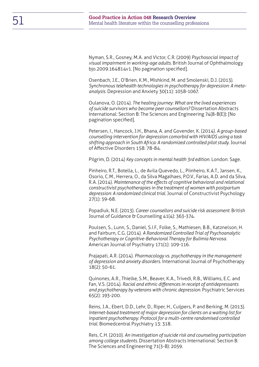Nyman, S.R., Gosney, M.A. and Victor, C.R. (2009) *Psychosocial impact of visual impairment in working-age adults.* British Journal of Ophthalmology bjo.2009.164814v1. [No pagination specified].

Osenbach, J.E., O'Brien, K.M., Mishkind, M. and Smolenski, D.J. (2013). *Synchronous telehealth technologies in psychotherapy for depression: A metaanalysis.* Depression and Anxiety 30(11): 1058-1067.

Oulanova, O. (2014). *The healing journey: What are the lived experiences of suicide survivors who become peer counsellors?* Dissertation Abstracts International: Section B: The Sciences and Engineering 74(8-B(E)): [No pagination specified].

Petersen, I., Hancock, J.H., Bhana, A. and Govender, K. (2014). *A group-based counselling intervention for depression comorbid with HIV/AIDS using a task shifting approach in South Africa: A randomized controlled pilot study.* Journal of Affective Disorders 158: 78-84.

Pilgrim, D. (2014) *Key concepts in mental health 3rd edition*. London: Sage.

Pinheiro, R.T., Botella, L., de Avila Quevedo, L., Piinheiro, K.A.T., Jansen, K., Osorio, C.M., Herrera, O., da Silva Magalhaes, P.O.V., Farias, A.D. and da Silva, R.A. (2014). *Maintenance of the effects of cognitive behavioral and relational constructivist psychotherapies in the treatment of women with postpartum depression: A randomized clinical trial.* Journal of Constructivist Psychology 27(1): 59-68.

Popadiuk, N.E. (2013). *Career counsellors and suicide risk assessment.* British Journal of Guidance & Counselling 41(4): 363-374.

Poulsen, S., Lunn, S., Daniel, S.I.F., Folke, S., Mathiesen, B.B., Katznelson, H. and Fairburn, C.G. (2014). *A Randomized Controlled Trial of Psychoanalytic Psychotherapy or Cognitive-Behavioral Therapy for Bulimia Nervosa.*  American Journal of Psychiatry 171(1): 109-116.

Prajapati, A.R. (2014). *Pharmacology vs. psychotherapy in the management of depression and anxiety disorders.* International Journal of Psychotherapy 18(2): 50-61.

Quinones, A.R., Thielke, S.M., Beaver, K.A., Trivedi, R.B., Williams, E.C. and Fan, V.S. (2014). *Racial and ethnic differences in receipt of antidepressants and psychotherapy by veterans with chronic depression.* Psychiatric Services 65(2): 193-200.

Reins, J.A., Ebert, D.D., Lehr, D., Riper, H., Cuijpers, P. and Berking, M. (2013). *Internet-based treatment of major depression for clients on a waiting list for inpatient psychotherapy: Protocol for a multi-centre randomised controlled trial.* Biomedcentral Psychiatry 13: 318.

Reis, C.H. (2010). *An investigation of suicide risk and counseling participation among college students.* Dissertation Abstracts International: Section B: The Sciences and Engineering 71(3-B): 2059.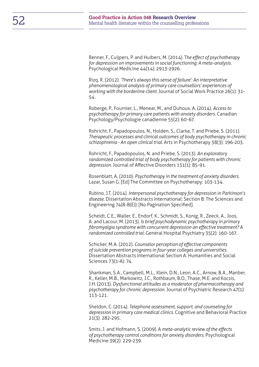Renner, F., Cuijpers, P. and Huibers, M. (2014). T*he effect of psychotherapy for depression on improvements in social functioning: A meta-analysis.*  Psychological Medicine 44(14): 2913-2926.

Rizq, R. (2012). *'There's always this sense of failure': An interpretative phenomenological analysis of primary care counsellors' experiences of working with the borderline client.* Journal of Social Work Practice 26(1): 31- 54.

Roberge, P., Fournier, L., Menear, M., and Duhoux, A. (2014). *Access to psychotherapy for primary care patients with anxiety disorders.* Canadian Psychology/Psychologie canadienne 55(2): 60-67.

Rohricht, F., Papadopoulos, N., Holden, S., Clarke, T. and Priebe, S. (2011). *Therapeutic processes and clinical outcomes of body psychotherapy in chronic schizophrenia - An open clinical trial.* Arts in Psychotherapy 38(3): 196-203.

Rohricht, F., Papadopoulos, N. and Priebe, S. (2013). *An exploratory randomized controlled trial of body psychotherapy for patients with chronic depression.* Journal of Affective Disorders 151(1): 85-91.

Rosenblatt, A. (2010). *Psychotherapy in the treatment of anxiety disorders.*  Lazar, Susan G. [Ed] The Committee on Psychotherapy: 103-134.

Rubino, J.T. (2014). *Interpersonal psychotherapy for depression in Parkinson's disease.* Dissertation Abstracts International: Section B: The Sciences and Engineering 74(8-B(E)): [No Pagination Specified].

Scheidt, C.E., Waller, E., Endorf, K., Schmidt, S., Konig, R., Zeeck, A., Joos, A. and Lacour, M. (2013). *Is brief psychodynamic psychotherapy in primary fibromyalgia syndrome with concurrent depression an effective treatment? A randomized controlled trial.* General Hospital Psychiatry 35(2): 160-167.

Schicker, M.A. (2012). *Counselor perception of effective components of suicide prevention programs in four-year colleges and universities.*  Dissertation Abstracts International Section A: Humanities and Social Sciences 73(1-A): 74.

Shankman, S.A., Campbell, M.L., Klein, D.N., Leon, A.C., Arnow, B.A., Manber, R., Keller, M.B., Markowitz, J.C., Rothbaum, B.O., Thase, M.E. and Kocsis, J.H. (2013). *Dysfunctional attitudes as a moderator of pharmacotherapy and psychotherapy for chronic depression.* Journal of Psychiatric Research 47(1): 113-121.

Sheldon, C. (2014). *Telephone assessment, support, and counseling for depression in primary care medical clinics.* Cognitive and Behavioral Practice 21(3): 282-295.

Smits, J. and Hofmann, S. (2009). A *meta-analytic review of the effects of psychotherapy control conditions for anxiety disorders.* Psychological Medicine 39(2): 229-239.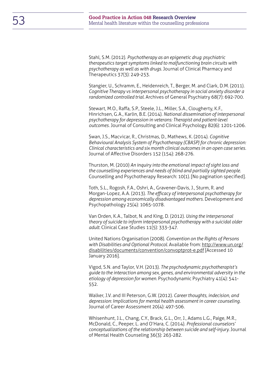Stahl, S.M. (2012). *Psychotherapy as an epigenetic drug: psychiatric therapeutics target symptoms linked to malfunctioning brain circuits with psychotherapy as well as with drugs.* Journal of Clinical Pharmacy and Therapeutics 37(3): 249-253.

Stangier, U., Schramm, E., Heidenreich, T., Berger, M. and Clark, D.M. (2011). *Cognitive Therapy vs interpersonal psychotherapy in social anxiety disorder a randomized controlled trial.* Archives of General Psychiatry 68(7): 692-700.

Stewart, M.O., Raffa, S.P., Steele, J.L., Miller, S.A., Clougherty, K.F., Hinrichsen, G.A., Karlin, B.E. (2014). *National dissemination of interpersonal psychotherapy for depression in veterans: Therapist and patient-level outcomes.* Journal of Consulting and Clinical Psychology 82(6): 1201-1206.

Swan, J.S., Macvicar, R., Christmas, D., Mathews, K. (2014). *Cognitive Behavioural Analysis System of Psychotherapy (CBASP) for chronic depression: Clinical characteristics and six month clinical outcomes in an open case series.*  Journal of Affective Disorders 152 (154): 268-276.

Thurston, M. (2010) *An inquiry into the emotional impact of sight loss and the counselling experiences and needs of blind and partially sighted people.*  Counselling and Psychotherapy Research: 10(1). [No pagination specified].

Toth, S.L., Rogosh, F.A., Oshri, A., Gravener-Davis, J., Sturm, R. and Morgan-Lopez, A.A. (2013). *The efficacy of interpersonal psychotherapy for depression among economically disadvantaged mothers.* Development and Psychopathology 25(4): 1065-1078.

Van Orden, K.A., Talbot, N. and King, D. (2012). *Using the interpersonal theory of suicide to inform interpersonal psychotherapy with a suicidal older adult.* Clinical Case Studies 11(5): 333-347.

United Nations Organisation (2008). *Convention on the Rights of Persons with Disabilities and Optional Protocol.* Available from: [http://www.un.org/](http://www.un.org/disabilities/documents/convention/convoptprot-e.pdf) [disabilities/documents/convention/convoptprot-e.pdf](http://www.un.org/disabilities/documents/convention/convoptprot-e.pdf) [Accessed 10 January 2016].

Vigod, S.N. and Taylor, V.H. (2013). *The psychodynamic psychotherapist's guide to the interaction among sex, genes, and environmental adversity in the etiology of depression for women.* Psychodynamic Psychiatry 41(4): 541- 552.

Walker, J.V. and III Peterson, G.W. (2012). *Career thoughts, indecision, and depression: Implications for mental health assessment in career counseling.* Journal of Career Assessment 20(4): 497-506.

Whisenhunt, J.L., Chang, C.Y., Brack, G.L., Orr, J., Adams L.G., Paige, M.R., McDonald, C., Peeper, L. and O'Hara, C. (2014). *Professional counselors' conceptualizations of the relationship between suicide and self-injury.* Journal of Mental Health Counseling 36(3): 263-282.